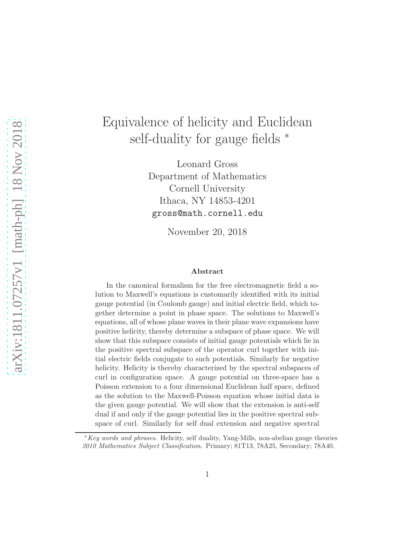# Equivalence of helicity and Euclidean self-duality for gauge fields  $*$

Leonard Gross Department of Mathematics Cornell University Ithaca, NY 14853-4201 gross@math.cornell.edu

November 20, 2018

#### Abstract

In the canonical formalism for the free electromagnetic field a solution to Maxwell's equations is customarily identified with its initial gauge potential (in Coulomb gauge) and initial electric field, which together determine a point in phase space. The solutions to Maxwell's equations, all of whose plane waves in their plane wave expansions have positive helicity, thereby determine a subspace of phase space. We will show that this subspace consists of initial gauge potentials which lie in the positive spectral subspace of the operator curl together with initial electric fields conjugate to such potentials. Similarly for negative helicity. Helicity is thereby characterized by the spectral subspaces of curl in configuration space. A gauge potential on three-space has a Poisson extension to a four dimensional Euclidean half space, defined as the solution to the Maxwell-Poisson equation whose initial data is the given gauge potential. We will show that the extension is anti-self dual if and only if the gauge potential lies in the positive spectral subspace of curl. Similarly for self dual extension and negative spectral

<sup>∗</sup>Key words and phrases. Helicity, self duality, Yang-Mills, non-abelian gauge theories 2010 Mathematics Subject Classification. Primary; 81T13, 78A25, Secondary; 78A40.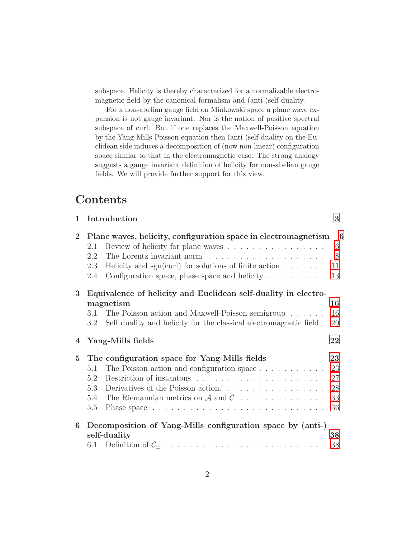subspace. Helicity is thereby characterized for a normalizable electromagnetic field by the canonical formalism and (anti-)self duality.

For a non-abelian gauge field on Minkowski space a plane wave expansion is not gauge invariant. Nor is the notion of positive spectral subspace of curl. But if one replaces the Maxwell-Poisson equation by the Yang-Mills-Poisson equation then (anti-)self duality on the Euclidean side induces a decomposition of (now non-linear) configuration space similar to that in the electromagnetic case. The strong analogy suggests a gauge invariant definition of helicity for non-abelian gauge fields. We will provide further support for this view.

# Contents

| $\mathbf{1}$   | Introduction                                                                                                                                                                                                                                                                 | 3                                |
|----------------|------------------------------------------------------------------------------------------------------------------------------------------------------------------------------------------------------------------------------------------------------------------------------|----------------------------------|
| $\overline{2}$ | Plane waves, helicity, configuration space in electromagnetism<br>Review of helicity for plane waves<br>2.1<br>2.2<br>2.3<br>Helicity and sgn(curl) for solutions of finite action $\dots \dots$<br>Configuration space, phase space and helicity $\dots \dots \dots$<br>2.4 | - 6<br>6<br>8<br>11<br>13        |
| 3              | Equivalence of helicity and Euclidean self-duality in electro-<br>magnetism<br>The Poisson action and Maxwell-Poisson semigroup<br>3.1<br>Self duality and helicity for the classical electromagnetic field.<br>3.2                                                          | 16<br>16<br>20                   |
| 4              | Yang-Mills fields                                                                                                                                                                                                                                                            | 22                               |
|                |                                                                                                                                                                                                                                                                              |                                  |
| $\overline{5}$ | The configuration space for Yang-Mills fields<br>The Poisson action and configuration space $\dots \dots \dots$<br>5.1<br>5.2<br>Derivatives of the Poisson action.<br>5.3<br>The Riemannian metrics on $\mathcal A$ and $\mathcal C$<br>5.4<br>5.5                          | 23<br>23<br>27<br>28<br>33<br>36 |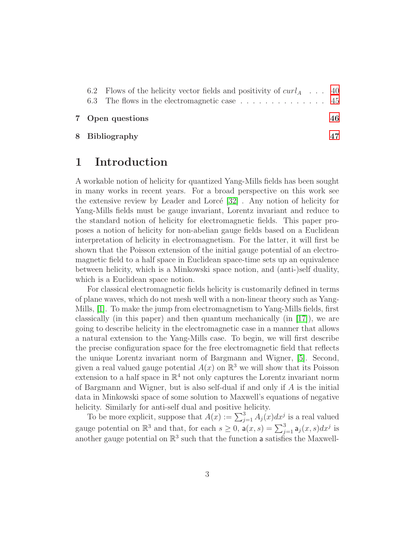|  | 6.3 The flows in the electromagnetic case 45 | 46 |
|--|----------------------------------------------|----|
|  | 7 Open questions                             |    |

<span id="page-2-0"></span>8 Bibliography [47](#page-46-0)

## 1 Introduction

A workable notion of helicity for quantized Yang-Mills fields has been sought in many works in recent years. For a broad perspective on this work see the extensive review by Leader and Lorcé  $[32]$ . Any notion of helicity for Yang-Mills fields must be gauge invariant, Lorentz invariant and reduce to the standard notion of helicity for electromagnetic fields. This paper proposes a notion of helicity for non-abelian gauge fields based on a Euclidean interpretation of helicity in electromagnetism. For the latter, it will first be shown that the Poisson extension of the initial gauge potential of an electromagnetic field to a half space in Euclidean space-time sets up an equivalence between helicity, which is a Minkowski space notion, and (anti-)self duality, which is a Euclidean space notion.

For classical electromagnetic fields helicity is customarily defined in terms of plane waves, which do not mesh well with a non-linear theory such as Yang-Mills, [\[1\]](#page-46-1). To make the jump from electromagnetism to Yang-Mills fields, first classically (in this paper) and then quantum mechanically (in  $[17]$ ), we are going to describe helicity in the electromagnetic case in a manner that allows a natural extension to the Yang-Mills case. To begin, we will first describe the precise configuration space for the free electromagnetic field that reflects the unique Lorentz invariant norm of Bargmann and Wigner, [\[5\]](#page-46-2). Second, given a real valued gauge potential  $A(x)$  on  $\mathbb{R}^3$  we will show that its Poisson extension to a half space in  $\mathbb{R}^4$  not only captures the Lorentz invariant norm of Bargmann and Wigner, but is also self-dual if and only if A is the initial data in Minkowski space of some solution to Maxwell's equations of negative helicity. Similarly for anti-self dual and positive helicity.

To be more explicit, suppose that  $A(x) := \sum_{j=1}^{3} A_j(x) dx^j$  is a real valued gauge potential on  $\mathbb{R}^3$  and that, for each  $s \geq 0$ ,  $a(x, s) = \sum_{j=1}^3 a_j(x, s) dx^j$  is another gauge potential on  $\mathbb{R}^3$  such that the function a satisfies the Maxwell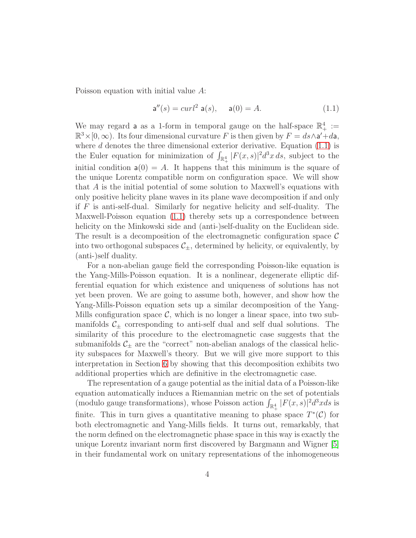Poisson equation with initial value A:

<span id="page-3-0"></span>
$$
\mathsf{a}''(s) = \operatorname{curl}^2 \mathsf{a}(s), \quad \mathsf{a}(0) = A. \tag{1.1}
$$

We may regard **a** as a 1-form in temporal gauge on the half-space  $\mathbb{R}^4_+ :=$  $\mathbb{R}^3 \times [0, \infty)$ . Its four dimensional curvature F is then given by  $F = ds \wedge a' + da$ , where  $d$  denotes the three dimensional exterior derivative. Equation  $(1.1)$  is the Euler equation for minimization of  $\int_{\mathbb{R}^4_+} |F(x,s)|^2 d^3x ds$ , subject to the initial condition  $a(0) = A$ . It happens that this minimum is the square of the unique Lorentz compatible norm on configuration space. We will show that A is the initial potential of some solution to Maxwell's equations with only positive helicity plane waves in its plane wave decomposition if and only if F is anti-self-dual. Similarly for negative helicity and self-duality. The Maxwell-Poisson equation [\(1.1\)](#page-3-0) thereby sets up a correspondence between helicity on the Minkowski side and (anti-)self-duality on the Euclidean side. The result is a decomposition of the electromagnetic configuration space  $\mathcal C$ into two orthogonal subspaces  $\mathcal{C}_{\pm}$ , determined by helicity, or equivalently, by (anti-)self duality.

For a non-abelian gauge field the corresponding Poisson-like equation is the Yang-Mills-Poisson equation. It is a nonlinear, degenerate elliptic differential equation for which existence and uniqueness of solutions has not yet been proven. We are going to assume both, however, and show how the Yang-Mills-Poisson equation sets up a similar decomposition of the Yang-Mills configuration space  $\mathcal{C}$ , which is no longer a linear space, into two submanifolds  $C_{\pm}$  corresponding to anti-self dual and self dual solutions. The similarity of this procedure to the electromagnetic case suggests that the submanifolds  $\mathcal{C}_\pm$  are the "correct" non-abelian analogs of the classical helicity subspaces for Maxwell's theory. But we will give more support to this interpretation in Section [6](#page-37-0) by showing that this decomposition exhibits two additional properties which are definitive in the electromagnetic case.

The representation of a gauge potential as the initial data of a Poisson-like equation automatically induces a Riemannian metric on the set of potentials (modulo gauge transformations), whose Poisson action  $\int_{\mathbb{R}^4_+} |F(x, s)|^2 d^3x ds$  is finite. This in turn gives a quantitative meaning to phase space  $T^*(\mathcal{C})$  for both electromagnetic and Yang-Mills fields. It turns out, remarkably, that the norm defined on the electromagnetic phase space in this way is exactly the unique Lorentz invariant norm first discovered by Bargmann and Wigner [\[5\]](#page-46-2) in their fundamental work on unitary representations of the inhomogeneous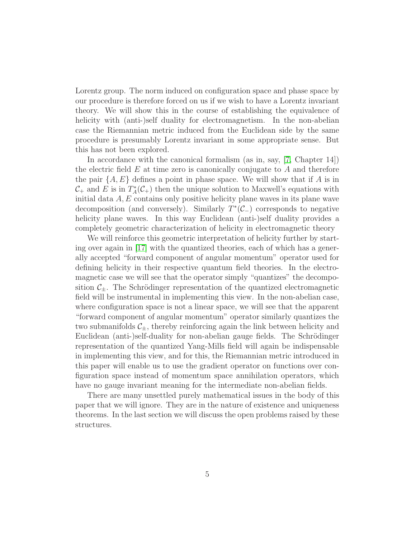Lorentz group. The norm induced on configuration space and phase space by our procedure is therefore forced on us if we wish to have a Lorentz invariant theory. We will show this in the course of establishing the equivalence of helicity with (anti-)self duality for electromagnetism. In the non-abelian case the Riemannian metric induced from the Euclidean side by the same procedure is presumably Lorentz invariant in some appropriate sense. But this has not been explored.

In accordance with the canonical formalism (as in, say, [\[7,](#page-47-0) Chapter 14]) the electric field  $E$  at time zero is canonically conjugate to  $A$  and therefore the pair  $\{A, E\}$  defines a point in phase space. We will show that if A is in  $\mathcal{C}_+$  and E is in  $T_A^*(\mathcal{C}_+)$  then the unique solution to Maxwell's equations with initial data  $A, E$  contains only positive helicity plane waves in its plane wave decomposition (and conversely). Similarly  $T^*(\mathcal{C}_-)$  corresponds to negative helicity plane waves. In this way Euclidean (anti-)self duality provides a completely geometric characterization of helicity in electromagnetic theory

We will reinforce this geometric interpretation of helicity further by starting over again in [\[17\]](#page-48-0) with the quantized theories, each of which has a generally accepted "forward component of angular momentum" operator used for defining helicity in their respective quantum field theories. In the electromagnetic case we will see that the operator simply "quantizes" the decomposition  $C_{+}$ . The Schrödinger representation of the quantized electromagnetic field will be instrumental in implementing this view. In the non-abelian case, where configuration space is not a linear space, we will see that the apparent "forward component of angular momentum" operator similarly quantizes the two submanifolds  $C_+$ , thereby reinforcing again the link between helicity and Euclidean (anti-)self-duality for non-abelian gauge fields. The Schrödinger representation of the quantized Yang-Mills field will again be indispensable in implementing this view, and for this, the Riemannian metric introduced in this paper will enable us to use the gradient operator on functions over configuration space instead of momentum space annihilation operators, which have no gauge invariant meaning for the intermediate non-abelian fields.

There are many unsettled purely mathematical issues in the body of this paper that we will ignore. They are in the nature of existence and uniqueness theorems. In the last section we will discuss the open problems raised by these structures.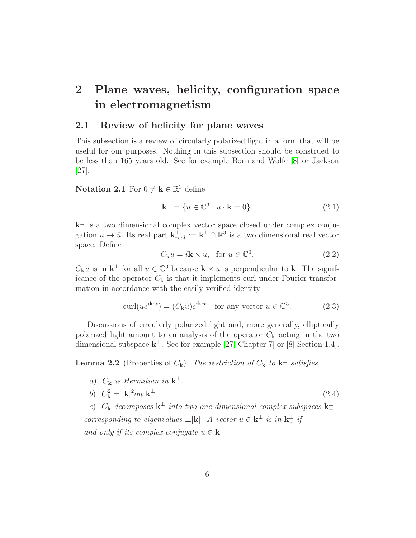# <span id="page-5-0"></span>2 Plane waves, helicity, configuration space in electromagnetism

#### <span id="page-5-1"></span>2.1 Review of helicity for plane waves

This subsection is a review of circularly polarized light in a form that will be useful for our purposes. Nothing in this subsection should be construed to be less than 165 years old. See for example Born and Wolfe [\[8\]](#page-47-1) or Jackson [\[27\]](#page-49-1).

**Notation 2.1** For  $0 \neq \mathbf{k} \in \mathbb{R}^3$  define

$$
\mathbf{k}^{\perp} = \{ u \in \mathbb{C}^3 : u \cdot \mathbf{k} = 0 \}. \tag{2.1}
$$

 $k^{\perp}$  is a two dimensional complex vector space closed under complex conjugation  $u \mapsto \bar{u}$ . Its real part  $\mathbf{k}_{real}^{\perp} := \mathbf{k}^{\perp} \cap \mathbb{R}^3$  is a two dimensional real vector space. Define

<span id="page-5-3"></span>
$$
C_{\mathbf{k}}u = i\mathbf{k} \times u, \text{ for } u \in \mathbb{C}^3. \tag{2.2}
$$

 $C_{\mathbf{k}}u$  is in  $\mathbf{k}^{\perp}$  for all  $u \in \mathbb{C}^{3}$  because  $\mathbf{k} \times u$  is perpendicular to  $\mathbf{k}$ . The significance of the operator  $C_{\mathbf{k}}$  is that it implements curl under Fourier transformation in accordance with the easily verified identity

<span id="page-5-2"></span>
$$
\operatorname{curl}(ue^{i\mathbf{k}\cdot x}) = (C_{\mathbf{k}}u)e^{i\mathbf{k}\cdot x} \quad \text{for any vector } u \in \mathbb{C}^3. \tag{2.3}
$$

Discussions of circularly polarized light and, more generally, elliptically polarized light amount to an analysis of the operator  $C_{\mathbf{k}}$  acting in the two dimensional subspace  $\mathbf{k}^{\perp}$ . See for example [\[27,](#page-49-1) Chapter 7] or [\[8,](#page-47-1) Section 1.4].

**Lemma 2.2** (Properties of  $C_{\mathbf{k}}$ ). The restriction of  $C_{\mathbf{k}}$  to  $\mathbf{k}^{\perp}$  satisfies

a)  $C_{\mathbf{k}}$  is Hermitian in  $\mathbf{k}^{\perp}$ . b)  $C_{\mathbf{k}}^2 = |\mathbf{k}|^2 on \mathbf{k}$  $\perp$  (2.4)

c)  $C_{\mathbf{k}}$  decomposes  $\mathbf{k}^{\perp}$  into two one dimensional complex subspaces  $\mathbf{k}^{\perp}_{\pm}$ corresponding to eigenvalues  $\pm |\mathbf{k}|$ . A vector  $u \in \mathbf{k}^{\perp}$  is in  $\mathbf{k}_{+}^{\perp}$  if and only if its complex conjugate  $\bar{u} \in \mathbf{k}_{-}^{\perp}$ .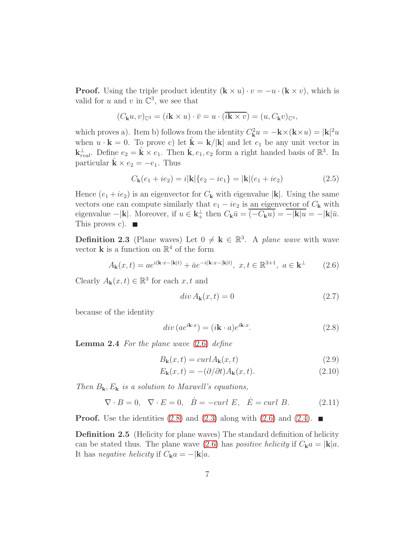**Proof.** Using the triple product identity  $(\mathbf{k} \times u) \cdot v = -u \cdot (\mathbf{k} \times v)$ , which is valid for u and v in  $\mathbb{C}^3$ , we see that

$$
(C_{\mathbf{k}}u,v)_{\mathbb{C}^3} = (i\mathbf{k}\times u)\cdot \bar{v} = u\cdot(\overline{i\mathbf{k}\times v}) = (u,C_{\mathbf{k}}v)_{\mathbb{C}^3},
$$

which proves a). Item b) follows from the identity  $C_{\mathbf{k}}^2 u = -\mathbf{k} \times (\mathbf{k} \times u) = |\mathbf{k}|^2 u$ when  $u \cdot \mathbf{k} = 0$ . To prove c) let  $\hat{\mathbf{k}} = \mathbf{k}/|\mathbf{k}|$  and let  $e_1$  be any unit vector in  $\mathbf{k}_{real}^{\perp}$ . Define  $e_2 = \hat{\mathbf{k}} \times e_1$ . Then  $\hat{\mathbf{k}}, e_1, e_2$  form a right handed basis of  $\mathbb{R}^3$ . In particular  $\hat{\mathbf{k}} \times e_2 = -e_1$ . Thus

$$
C_{\mathbf{k}}(e_1 + ie_2) = i|\mathbf{k}|\{e_2 - ie_1\} = |\mathbf{k}|(e_1 + ie_2)
$$
\n(2.5)

Hence  $(e_1 + ie_2)$  is an eigenvector for  $C_k$  with eigenvalue |k|. Using the same vectors one can compute similarly that  $e_1 - ie_2$  is an eigenvector of  $C_{\mathbf{k}}$  with eigenvalue  $-|\mathbf{k}|$ . Moreover, if  $u \in \mathbf{k}_+^{\perp}$  then  $C_{\mathbf{k}}\bar{u} = \overline{(-C_{\mathbf{k}}u)} = -|\mathbf{k}| \bar{u} = -|\mathbf{k}| \bar{u}$ . This proves c).  $\blacksquare$ 

**Definition 2.3** (Plane waves) Let  $0 \neq k \in \mathbb{R}^3$ . A plane wave with wave vector **k** is a function on  $\mathbb{R}^4$  of the form

<span id="page-6-0"></span>
$$
A_{\mathbf{k}}(x,t) = ae^{i(\mathbf{k}\cdot x - |\mathbf{k}|t)} + \bar{a}e^{-i(\mathbf{k}\cdot x - |\mathbf{k}|t)}, \ x, t \in \mathbb{R}^{3+1}, \ a \in \mathbf{k}^{\perp}
$$
 (2.6)

Clearly  $A_{\mathbf{k}}(x,t) \in \mathbb{R}^3$  for each  $x, t$  and

<span id="page-6-1"></span>
$$
div A_{\mathbf{k}}(x,t) = 0 \tag{2.7}
$$

because of the identity

$$
div (ae^{i\mathbf{k}\cdot x}) = (i\mathbf{k}\cdot a)e^{i\mathbf{k}\cdot x}.
$$
 (2.8)

<span id="page-6-3"></span>**Lemma 2.4** For the plane wave  $(2.6)$  define

$$
B_{\mathbf{k}}(x,t) = curl A_{\mathbf{k}}(x,t)
$$
\n(2.9)

<span id="page-6-2"></span>
$$
E_{\mathbf{k}}(x,t) = -(\partial/\partial t)A_{\mathbf{k}}(x,t).
$$
 (2.10)

Then  $B_{\mathbf{k}}, E_{\mathbf{k}}$  is a solution to Maxwell's equations,

$$
\nabla \cdot B = 0, \quad \nabla \cdot E = 0, \quad \dot{B} = -\text{curl } E, \quad \dot{E} = \text{curl } B. \tag{2.11}
$$

<span id="page-6-4"></span>**Proof.** Use the identities [\(2.8\)](#page-6-1) and [\(2.3\)](#page-5-2) along with [\(2.6\)](#page-6-0) and [\(2.4\)](#page-5-3).  $\blacksquare$ 

Definition 2.5 (Helicity for plane waves) The standard definition of helicity can be stated thus. The plane wave [\(2.6\)](#page-6-0) has *positive helicity* if  $C_{\mathbf{k}}a = |\mathbf{k}|a$ . It has negative helicity if  $C_{\mathbf{k}}a = -|\mathbf{k}|a$ .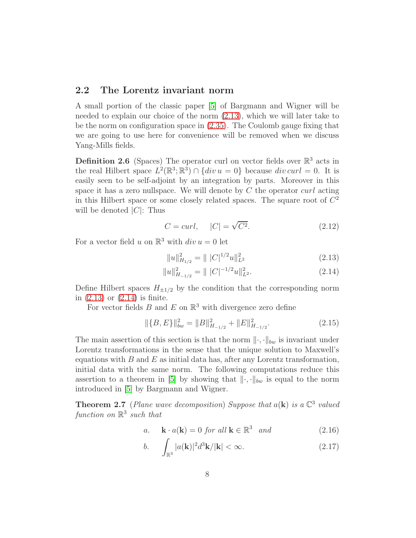### <span id="page-7-0"></span>2.2 The Lorentz invariant norm

A small portion of the classic paper [\[5\]](#page-46-2) of Bargmann and Wigner will be needed to explain our choice of the norm [\(2.13\)](#page-7-1), which we will later take to be the norm on configuration space in [\(2.35\)](#page-13-0). The Coulomb gauge fixing that we are going to use here for convenience will be removed when we discuss Yang-Mills fields.

**Definition 2.6** (Spaces) The operator curl on vector fields over  $\mathbb{R}^3$  acts in the real Hilbert space  $L^2(\mathbb{R}^3; \mathbb{R}^3) \cap \{div u = 0\}$  because  $div curl = 0$ . It is easily seen to be self-adjoint by an integration by parts. Moreover in this space it has a zero nullspace. We will denote by  $C$  the operator curl acting in this Hilbert space or some closely related spaces. The square root of  $C<sup>2</sup>$ will be denoted  $|C|$ : Thus

$$
C = curl, \qquad |C| = \sqrt{C^2}.
$$
\n(2.12)

For a vector field u on  $\mathbb{R}^3$  with  $div u = 0$  let

<span id="page-7-5"></span><span id="page-7-2"></span><span id="page-7-1"></span>
$$
||u||_{H_{1/2}}^2 = |||C|^{1/2}u||_{L^2}^2
$$
\n(2.13)

$$
||u||_{H_{-1/2}}^2 = |||C|^{-1/2}u||_{L^2}^2.
$$
\n(2.14)

Define Hilbert spaces  $H_{\pm 1/2}$  by the condition that the corresponding norm in [\(2.13\)](#page-7-1) or [\(2.14\)](#page-7-2) is finite.

For vector fields  $B$  and  $E$  on  $\mathbb{R}^3$  with divergence zero define

$$
\|\{B, E\}\|_{bw}^2 = \|B\|_{H_{-1/2}}^2 + \|E\|_{H_{-1/2}}^2.
$$
\n(2.15)

The main assertion of this section is that the norm  $\|\cdot,\cdot\|_{bw}$  is invariant under Lorentz transformations in the sense that the unique solution to Maxwell's equations with  $B$  and  $E$  as initial data has, after any Lorentz transformation, initial data with the same norm. The following computations reduce this assertion to a theorem in [\[5\]](#page-46-2) by showing that  $\|\cdot,\cdot\|_{bw}$  is equal to the norm introduced in [\[5\]](#page-46-2) by Bargmann and Wigner.

<span id="page-7-6"></span>**Theorem 2.7** (Plane wave decomposition) Suppose that  $a(\mathbf{k})$  is a  $\mathbb{C}^3$  valued function on  $\mathbb{R}^3$  such that

<span id="page-7-3"></span>
$$
a. \quad \mathbf{k} \cdot a(\mathbf{k}) = 0 \text{ for all } \mathbf{k} \in \mathbb{R}^3 \text{ and } \tag{2.16}
$$

<span id="page-7-4"></span>
$$
b. \qquad \int_{\mathbb{R}^3} |a(\mathbf{k})|^2 d^3 \mathbf{k} / |\mathbf{k}| < \infty. \tag{2.17}
$$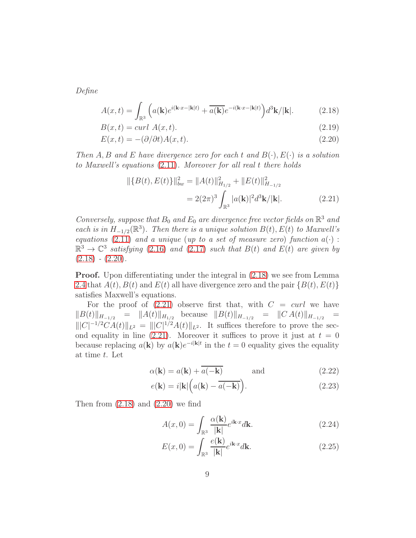Define

$$
A(x,t) = \int_{\mathbb{R}^3} \left( a(\mathbf{k}) e^{i(\mathbf{k} \cdot x - |\mathbf{k}|t)} + \overline{a(\mathbf{k})} e^{-i(\mathbf{k} \cdot x - |\mathbf{k}|t)} \right) d^3 \mathbf{k} / |\mathbf{k}|.
$$
 (2.18)

$$
B(x,t) = curl A(x,t).
$$
\n(2.19)

$$
E(x,t) = -(\partial/\partial t)A(x,t). \tag{2.20}
$$

Then A, B and E have divergence zero for each t and  $B(\cdot), E(\cdot)$  is a solution to Maxwell's equations [\(2.11\)](#page-6-2). Moreover for all real t there holds

<span id="page-8-2"></span><span id="page-8-1"></span><span id="page-8-0"></span>
$$
\begin{aligned} \|\{B(t), E(t)\}\|_{bw}^2 &= \|A(t)\|_{H_{1/2}}^2 + \|E(t)\|_{H_{-1/2}}^2 \\ &= 2(2\pi)^3 \int_{\mathbb{R}^3} |a(\mathbf{k})|^2 d^3 \mathbf{k} / |\mathbf{k}|. \end{aligned} \tag{2.21}
$$

Conversely, suppose that  $B_0$  and  $E_0$  are divergence free vector fields on  $\mathbb{R}^3$  and each is in  $H_{-1/2}(\mathbb{R}^3)$ . Then there is a unique solution  $B(t)$ ,  $E(t)$  to Maxwell's equations [\(2.11\)](#page-6-2) and a unique (up to a set of measure zero) function  $a(\cdot)$ :  $\mathbb{R}^3 \to \mathbb{C}^3$  satisfying [\(2.16\)](#page-7-3) and [\(2.17\)](#page-7-4) such that  $B(t)$  and  $E(t)$  are given by  $(2.18) - (2.20).$  $(2.18) - (2.20).$  $(2.18) - (2.20).$  $(2.18) - (2.20).$ 

Proof. Upon differentiating under the integral in [\(2.18\)](#page-8-0) we see from Lemma [2.4](#page-6-3) that  $A(t)$ ,  $B(t)$  and  $E(t)$  all have divergence zero and the pair  $\{B(t), E(t)\}$ satisfies Maxwell's equations.

For the proof of  $(2.21)$  observe first that, with  $C = \text{curl}$  we have  $||B(t)||_{H_{-1/2}} = ||A(t)||_{H_{1/2}}$  because  $||B(t)||_{H_{-1/2}} = ||C A(t)||_{H_{-1/2}} =$  $|||C|^{-1/2}CA(t)||_{L^2} = |||C|^{1/2}A(t)||_{L^2}$ . It suffices therefore to prove the sec-ond equality in line [\(2.21\)](#page-8-2). Moreover it suffices to prove it just at  $t = 0$ because replacing  $a(\mathbf{k})$  by  $a(\mathbf{k})e^{-i|\mathbf{k}|t}$  in the  $t=0$  equality gives the equality at time t. Let

$$
\alpha(\mathbf{k}) = a(\mathbf{k}) + \overline{a(-\mathbf{k})} \quad \text{and} \quad (2.22)
$$

$$
e(\mathbf{k}) = i|\mathbf{k}| \left( a(\mathbf{k}) - \overline{a(-\mathbf{k})} \right). \tag{2.23}
$$

Then from  $(2.18)$  and  $(2.20)$  we find

<span id="page-8-6"></span><span id="page-8-5"></span><span id="page-8-3"></span>
$$
A(x,0) = \int_{\mathbb{R}^3} \frac{\alpha(\mathbf{k})}{|\mathbf{k}|} e^{i\mathbf{k} \cdot x} d\mathbf{k}.
$$
 (2.24)

<span id="page-8-4"></span>
$$
E(x,0) = \int_{\mathbb{R}^3} \frac{e(\mathbf{k})}{|\mathbf{k}|} e^{i\mathbf{k} \cdot x} d\mathbf{k}.
$$
 (2.25)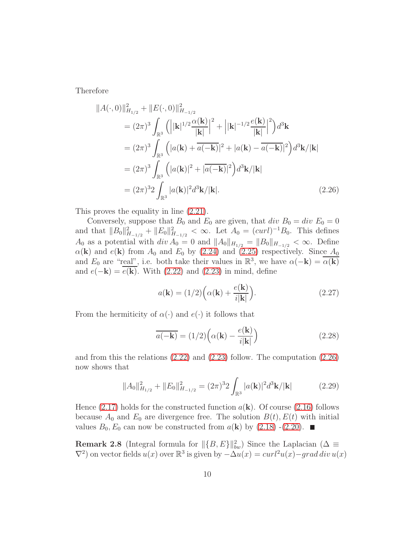Therefore

$$
||A(\cdot,0)||_{H_{1/2}}^{2} + ||E(\cdot,0)||_{H_{-1/2}}^{2}
$$
  
\n
$$
= (2\pi)^{3} \int_{\mathbb{R}^{3}} \left( \left| |\mathbf{k}|^{1/2} \frac{\alpha(\mathbf{k})}{|\mathbf{k}|} \right|^{2} + \left| |\mathbf{k}|^{-1/2} \frac{e(\mathbf{k})}{|\mathbf{k}|} \right|^{2} \right) d^{3} \mathbf{k}
$$
  
\n
$$
= (2\pi)^{3} \int_{\mathbb{R}^{3}} \left( |a(\mathbf{k}) + \overline{a(-\mathbf{k})}|^{2} + |a(\mathbf{k}) - \overline{a(-\mathbf{k})}|^{2} \right) d^{3} \mathbf{k} / |\mathbf{k}|
$$
  
\n
$$
= (2\pi)^{3} \int_{\mathbb{R}^{3}} \left( |a(\mathbf{k})|^{2} + |\overline{a(-\mathbf{k})}|^{2} \right) d^{3} \mathbf{k} / |\mathbf{k}|
$$
  
\n
$$
= (2\pi)^{3} 2 \int_{\mathbb{R}^{3}} |a(\mathbf{k})|^{2} d^{3} \mathbf{k} / |\mathbf{k}|.
$$
 (2.26)

This proves the equality in line [\(2.21\)](#page-8-2).

Conversely, suppose that  $B_0$  and  $E_0$  are given, that div  $B_0 = div E_0 = 0$ and that  $||B_0||^2_{H_{-1/2}} + ||E_0||^2_{H_{-1/2}} < \infty$ . Let  $A_0 = (curl)^{-1}B_0$ . This defines A<sub>0</sub> as a potential with  $div A_0 = 0$  and  $||A_0||_{H_{1/2}} = ||B_0||_{H_{-1/2}} < \infty$ . Define  $\alpha(\mathbf{k})$  and  $e(\mathbf{k})$  from  $A_0$  and  $E_0$  by [\(2.24\)](#page-8-3) and [\(2.25\)](#page-8-4) respectively. Since  $A_0$ and  $E_0$  are "real", i.e. both take their values in  $\mathbb{R}^3$ , we have  $\alpha(-\mathbf{k}) = \overline{\alpha(\mathbf{k})}$ and  $e(-\mathbf{k}) = \overline{e(\mathbf{k})}$ . With [\(2.22\)](#page-8-5) and [\(2.23\)](#page-8-6) in mind, define

<span id="page-9-0"></span>
$$
a(\mathbf{k}) = (1/2) \Big( \alpha(\mathbf{k}) + \frac{e(\mathbf{k})}{i|\mathbf{k}|} \Big). \tag{2.27}
$$

From the hermiticity of  $\alpha(\cdot)$  and  $e(\cdot)$  it follows that

$$
\overline{a(-\mathbf{k})} = (1/2) \left( \alpha(\mathbf{k}) - \frac{e(\mathbf{k})}{i|\mathbf{k}|} \right) \tag{2.28}
$$

and from this the relations [\(2.22\)](#page-8-5) and [\(2.23\)](#page-8-6) follow. The computation [\(2.26\)](#page-9-0) now shows that

$$
||A_0||_{H_{1/2}}^2 + ||E_0||_{H_{-1/2}}^2 = (2\pi)^3 2 \int_{\mathbb{R}^3} |a(\mathbf{k})|^2 d^3 \mathbf{k} / |\mathbf{k}| \tag{2.29}
$$

Hence  $(2.17)$  holds for the constructed function  $a(\mathbf{k})$ . Of course  $(2.16)$  follows because  $A_0$  and  $E_0$  are divergence free. The solution  $B(t)$ ,  $E(t)$  with initial values  $B_0, E_0$  can now be constructed from  $a(\mathbf{k})$  by  $(2.18)$  - $(2.20)$ .

**Remark 2.8** (Integral formula for  $\|\{B, E\}\|_{bw}^2$ ) Since the Laplacian ( $\Delta \equiv$  $\nabla^2$ ) on vector fields  $u(x)$  over  $\mathbb{R}^3$  is given by  $-\Delta u(x) = \operatorname{curl}^2 u(x) - \operatorname{grad} \operatorname{div} u(x)$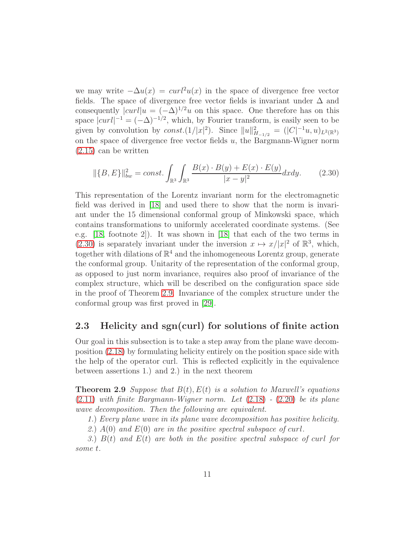we may write  $-\Delta u(x) = \frac{curl^2 u(x)}{\Delta x}$  in the space of divergence free vector fields. The space of divergence free vector fields is invariant under  $\Delta$  and consequently  $|curl|u = (-\Delta)^{1/2}u$  on this space. One therefore has on this space  $|curl|^{-1} = (-\Delta)^{-1/2}$ , which, by Fourier transform, is easily seen to be given by convolution by  $const.(1/|x|^2)$ . Since  $||u||_{H_{-1/2}}^2 = (|C|^{-1}u, u)_{L^2(\mathbb{R}^3)}$ on the space of divergence free vector fields  $u$ , the Bargmann-Wigner norm [\(2.15\)](#page-7-5) can be written

<span id="page-10-1"></span>
$$
\|\{B, E\}\|_{bw}^2 = const. \int_{\mathbb{R}^3} \int_{\mathbb{R}^3} \frac{B(x) \cdot B(y) + E(x) \cdot E(y)}{|x - y|^2} dx dy.
$$
 (2.30)

This representation of the Lorentz invariant norm for the electromagnetic field was derived in [\[18\]](#page-48-1) and used there to show that the norm is invariant under the 15 dimensional conformal group of Minkowski space, which contains transformations to uniformly accelerated coordinate systems. (See e.g. [\[18,](#page-48-1) footnote 2]). It was shown in [\[18\]](#page-48-1) that each of the two terms in [\(2.30\)](#page-10-1) is separately invariant under the inversion  $x \mapsto x/|x|^2$  of  $\mathbb{R}^3$ , which, together with dilations of  $\mathbb{R}^4$  and the inhomogeneous Lorentz group, generate the conformal group. Unitarity of the representation of the conformal group, as opposed to just norm invariance, requires also proof of invariance of the complex structure, which will be described on the configuration space side in the proof of Theorem [2.9.](#page-10-2) Invariance of the complex structure under the conformal group was first proved in [\[29\]](#page-49-2).

### <span id="page-10-0"></span>2.3 Helicity and sgn(curl) for solutions of finite action

Our goal in this subsection is to take a step away from the plane wave decomposition [\(2.18\)](#page-8-0) by formulating helicity entirely on the position space side with the help of the operator curl. This is reflected explicitly in the equivalence between assertions 1.) and 2.) in the next theorem

<span id="page-10-2"></span>**Theorem 2.9** Suppose that  $B(t)$ ,  $E(t)$  is a solution to Maxwell's equations  $(2.11)$  with finite Bargmann-Wigner norm. Let  $(2.18)$  -  $(2.20)$  be its plane wave decomposition. Then the following are equivalent.

1.) Every plane wave in its plane wave decomposition has positive helicity.

2.)  $A(0)$  and  $E(0)$  are in the positive spectral subspace of curl.

3.)  $B(t)$  and  $E(t)$  are both in the positive spectral subspace of curl for some t.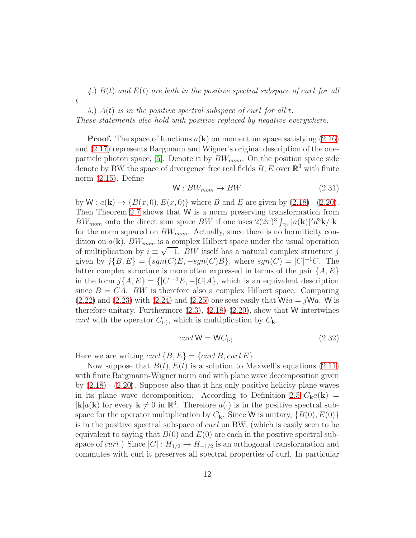4.)  $B(t)$  and  $E(t)$  are both in the positive spectral subspace of curl for all t

5.)  $A(t)$  is in the positive spectral subspace of curl for all t. These statements also hold with positive replaced by negative everywhere.

**Proof.** The space of functions  $a(\mathbf{k})$  on momentum space satisfying  $(2.16)$ and [\(2.17\)](#page-7-4) represents Bargmann and Wigner's original description of the one-particle photon space, [\[5\]](#page-46-2). Denote it by  $BW_{mom}$ . On the position space side denote by BW the space of divergence free real fields  $B, E$  over  $\mathbb{R}^3$  with finite norm [\(2.15\)](#page-7-5). Define

$$
W: BW_{mom} \to BW \tag{2.31}
$$

by  $W: a(\mathbf{k}) \mapsto {B(x, 0), E(x, 0)}$  where B and E are given by [\(2.18\)](#page-8-0) - [\(2.20\)](#page-8-1). Then Theorem [2.7](#page-7-6) shows that W is a norm preserving transformation from  $BW_{mom}$  onto the direct sum space  $BW$  if one uses  $2(2\pi)^3 \int_{\mathbb{R}^3} |a(\mathbf{k})|^2 d^3\mathbf{k}/|\mathbf{k}|$ for the norm squared on  $BW_{mom}$ . Actually, since there is no hermiticity condition on  $a(\mathbf{k})$ ,  $BW_{mom}$  is a complex Hilbert space under the usual operation of multiplication by  $i \equiv \sqrt{-1}$ . BW itself has a natural complex structure j given by  $j\{B, E\} = \{sgn(C)E, -sgn(C)B\}$ , where  $sgn(C) = |C|^{-1}C$ . The latter complex structure is more often expressed in terms of the pair  $\{A, E\}$ in the form  $j\{A, E\} = \{|C|^{-1}E, -|C|A\}$ , which is an equivalent description since  $B = CA$ . BW is therefore also a complex Hilbert space. Comparing  $(2.22)$  and  $(2.23)$  with  $(2.24)$  and  $(2.25)$  one sees easily that  $Wia = jWa$ . W is therefore unitary. Furthermore  $(2.3)$ ,  $(2.18)-(2.20)$  $(2.18)-(2.20)$ , show that W intertwines curl with the operator  $C_{(\cdot)}$ , which is multiplication by  $C_{\mathbf{k}}$ .

<span id="page-11-0"></span>
$$
curl W = WC_{(\cdot)}.
$$
\n(2.32)

Here we are writing  $curl \{B, E\} = \{curl B, curl E\}.$ 

Now suppose that  $B(t)$ ,  $E(t)$  is a solution to Maxwell's equations [\(2.11\)](#page-6-2) with finite Bargmann-Wigner norm and with plane wave decomposition given by  $(2.18)$  -  $(2.20)$ . Suppose also that it has only positive helicity plane waves in its plane wave decomposition. According to Definition [2.5](#page-6-4)  $C_{\bf k} a({\bf k})$  =  $|\mathbf{k}|a(\mathbf{k})$  for every  $\mathbf{k} \neq 0$  in  $\mathbb{R}^3$ . Therefore  $a(\cdot)$  is in the positive spectral subspace for the operator multiplication by  $C_{\mathbf{k}}$ . Since W is unitary,  $\{B(0), E(0)\}$ is in the positive spectral subspace of curl on BW, (which is easily seen to be equivalent to saying that  $B(0)$  and  $E(0)$  are each in the positive spectral subspace of *curl.*) Since  $|C| : H_{1/2} \to H_{-1/2}$  is an orthogonal transformation and commutes with curl it preserves all spectral properties of curl. In particular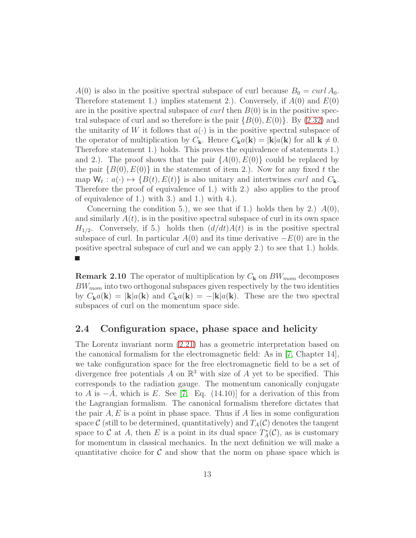$A(0)$  is also in the positive spectral subspace of curl because  $B_0 = \text{curl } A_0$ . Therefore statement 1.) implies statement 2.). Conversely, if  $A(0)$  and  $E(0)$ are in the positive spectral subspace of  $curl$  then  $B(0)$  is in the positive spectral subspace of curl and so therefore is the pair  $\{B(0), E(0)\}\$ . By  $(2.32)$  and the unitarity of W it follows that  $a(\cdot)$  is in the positive spectral subspace of the operator of multiplication by  $C_{\mathbf{k}}$ . Hence  $C_{\mathbf{k}}a(\mathbf{k}) = |\mathbf{k}|a(\mathbf{k})$  for all  $\mathbf{k} \neq 0$ . Therefore statement 1.) holds. This proves the equivalence of statements 1.) and 2.). The proof shows that the pair  $\{A(0), E(0)\}\)$  could be replaced by the pair  ${B(0), E(0)}$  in the statement of item 2.). Now for any fixed t the map  $W_t: a(\cdot) \mapsto {B(t), E(t)}$  is also unitary and intertwines *curl* and  $C_k$ . Therefore the proof of equivalence of 1.) with 2.) also applies to the proof of equivalence of 1.) with 3.) and 1.) with 4.).

Concerning the condition 5.), we see that if 1.) holds then by 2.)  $A(0)$ , and similarly  $A(t)$ , is in the positive spectral subspace of curl in its own space  $H_{1/2}$ . Conversely, if 5.) holds then  $(d/dt)A(t)$  is in the positive spectral subspace of curl. In particular  $A(0)$  and its time derivative  $-E(0)$  are in the positive spectral subspace of curl and we can apply 2.) to see that 1.) holds.  $\mathcal{L}_{\mathcal{A}}$ 

**Remark 2.10** The operator of multiplication by  $C_k$  on  $BW_{mom}$  decomposes  $BW_{mom}$  into two orthogonal subspaces given respectively by the two identities by  $C_{\mathbf{k}}a(\mathbf{k}) = |\mathbf{k}|a(\mathbf{k})$  and  $C_{\mathbf{k}}a(\mathbf{k}) = -|\mathbf{k}|a(\mathbf{k})$ . These are the two spectral subspaces of curl on the momentum space side.

#### <span id="page-12-0"></span>2.4 Configuration space, phase space and helicity

The Lorentz invariant norm [\(2.21\)](#page-8-2) has a geometric interpretation based on the canonical formalism for the electromagnetic field: As in [\[7,](#page-47-0) Chapter 14], we take configuration space for the free electromagnetic field to be a set of divergence free potentials  $A$  on  $\mathbb{R}^3$  with size of  $A$  yet to be specified. This corresponds to the radiation gauge. The momentum canonically conjugate to A is  $-\dot{A}$ , which is E. See [\[7,](#page-47-0) Eq. (14.10)] for a derivation of this from the Lagrangian formalism. The canonical formalism therefore dictates that the pair  $A, E$  is a point in phase space. Thus if A lies in some configuration space C (still to be determined, quantitatively) and  $T_A(\mathcal{C})$  denotes the tangent space to C at A, then E is a point in its dual space  $T_A^*(\mathcal{C})$ , as is customary for momentum in classical mechanics. In the next definition we will make a quantitative choice for  $\mathcal C$  and show that the norm on phase space which is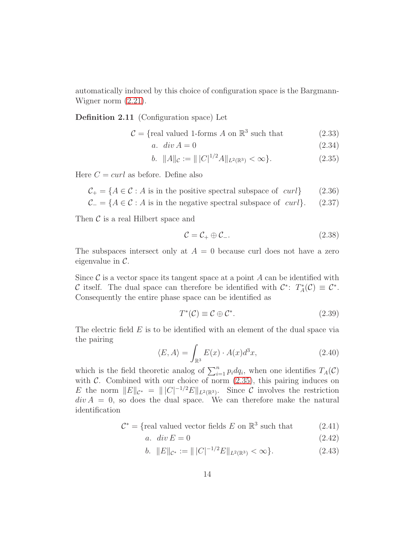<span id="page-13-5"></span>automatically induced by this choice of configuration space is the Bargmann-Wigner norm [\(2.21\)](#page-8-2).

Definition 2.11 (Configuration space) Let

 $C = \{$ real valued 1-forms A on  $\mathbb{R}^3$  such that (2.33)

a.  $div A = 0$  (2.34)

$$
b. \quad ||A||_{\mathcal{C}} := ||C|^{1/2} A||_{L^2(\mathbb{R}^3)} < \infty \}. \tag{2.35}
$$

Here  $C = \text{curl}$  as before. Define also

 $C_+ = \{A \in \mathcal{C} : A \text{ is in the positive spectral subspace of } curl\}$  (2.36)

$$
C_{-} = \{ A \in \mathcal{C} : A \text{ is in the negative spectral subspace of } curl \}. \tag{2.37}
$$

Then  $\mathcal C$  is a real Hilbert space and

<span id="page-13-4"></span><span id="page-13-3"></span><span id="page-13-2"></span><span id="page-13-0"></span>
$$
\mathcal{C} = \mathcal{C}_+ \oplus \mathcal{C}_-.\tag{2.38}
$$

The subspaces intersect only at  $A = 0$  because curl does not have a zero eigenvalue in  $\mathcal{C}$ .

Since  $\mathcal C$  is a vector space its tangent space at a point  $A$  can be identified with C itself. The dual space can therefore be identified with  $\mathcal{C}^*$ :  $T_A^*(\mathcal{C}) \equiv \mathcal{C}^*$ . Consequently the entire phase space can be identified as

<span id="page-13-1"></span>
$$
T^*(\mathcal{C}) \equiv \mathcal{C} \oplus \mathcal{C}^*.
$$
\n
$$
(2.39)
$$

The electric field  $E$  is to be identified with an element of the dual space via the pairing

$$
\langle E, A \rangle = \int_{\mathbb{R}^3} E(x) \cdot A(x) d^3 x,\tag{2.40}
$$

which is the field theoretic analog of  $\sum_{i=1}^{n} p_i dq_i$ , when one identifies  $T_A(\mathcal{C})$ with  $\mathcal{C}$ . Combined with our choice of norm  $(2.35)$ , this pairing induces on E the norm  $||E||_{\mathcal{C}^*} = |||C|^{-1/2}E||_{L^2(\mathbb{R}^3)}$ . Since C involves the restriction  $div A = 0$ , so does the dual space. We can therefore make the natural identification

$$
C^* = \{ \text{real valued vector fields } E \text{ on } \mathbb{R}^3 \text{ such that } (2.41)
$$

$$
a. \quad \operatorname{div} E = 0 \tag{2.42}
$$

$$
b. \quad ||E||_{\mathcal{C}^*} := ||C|^{-1/2} E||_{L^2(\mathbb{R}^3)} < \infty \}. \tag{2.43}
$$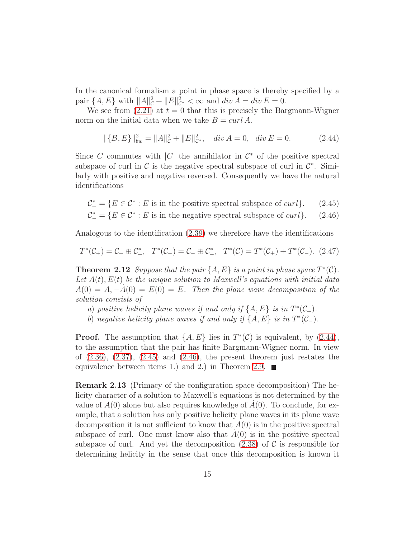In the canonical formalism a point in phase space is thereby specified by a pair  $\{A, E\}$  with  $||A||_{\mathcal{C}}^2 + ||E||_{\mathcal{C}^*}^2 < \infty$  and  $div A = div E = 0$ .

We see from  $(2.21)$  at  $t = 0$  that this is precisely the Bargmann-Wigner norm on the initial data when we take  $B = \text{curl } A$ .

<span id="page-14-2"></span><span id="page-14-1"></span><span id="page-14-0"></span>
$$
\|\{B, E\}\|_{bw}^2 = \|A\|_{\mathcal{C}}^2 + \|E\|_{\mathcal{C}^*}^2, \quad \text{div}\,A = 0, \quad \text{div}\,E = 0. \tag{2.44}
$$

Since C commutes with  $|C|$  the annihilator in  $\mathcal{C}^*$  of the positive spectral subspace of curl in  $\mathcal{C}$  is the negative spectral subspace of curl in  $\mathcal{C}^*$ . Similarly with positive and negative reversed. Consequently we have the natural identifications

<span id="page-14-3"></span>
$$
\mathcal{C}_{+}^{*} = \{ E \in \mathcal{C}^{*} : E \text{ is in the positive spectral subspace of } curl \}. \tag{2.45}
$$
  

$$
\mathcal{C}_{-}^{*} = \{ E \in \mathcal{C}^{*} : E \text{ is in the negative spectral subspace of } curl \}. \tag{2.46}
$$

Analogous to the identification [\(2.39\)](#page-13-1) we therefore have the identifications

$$
T^*(\mathcal{C}_+) = \mathcal{C}_+ \oplus \mathcal{C}_+^*, \quad T^*(\mathcal{C}_-) = \mathcal{C}_- \oplus \mathcal{C}_-^*, \quad T^*(\mathcal{C}) = T^*(\mathcal{C}_+) + T^*(\mathcal{C}_-). \tag{2.47}
$$

<span id="page-14-4"></span>**Theorem 2.12** Suppose that the pair  $\{A, E\}$  is a point in phase space  $T^*(\mathcal{C})$ . Let  $A(t)$ ,  $E(t)$  be the unique solution to Maxwell's equations with initial data  $A(0) = A, -A(0) = E(0) = E$ . Then the plane wave decomposition of the solution consists of

- a) positive helicity plane waves if and only if  $\{A, E\}$  is in  $T^*(\mathcal{C}_+)$ .
- b) negative helicity plane waves if and only if  $\{A, E\}$  is in  $T^*(\mathcal{C}_-)$ .

**Proof.** The assumption that  $\{A, E\}$  lies in  $T^*(\mathcal{C})$  is equivalent, by [\(2.44\)](#page-14-0), to the assumption that the pair has finite Bargmann-Wigner norm. In view of  $(2.36)$ ,  $(2.37)$ ,  $(2.45)$  and  $(2.46)$ , the present theorem just restates the equivalence between items 1.) and 2.) in Theorem [2.9.](#page-10-2)  $\blacksquare$ 

<span id="page-14-5"></span>Remark 2.13 (Primacy of the configuration space decomposition) The helicity character of a solution to Maxwell's equations is not determined by the value of  $A(0)$  alone but also requires knowledge of  $A(0)$ . To conclude, for example, that a solution has only positive helicity plane waves in its plane wave decomposition it is not sufficient to know that  $A(0)$  is in the positive spectral subspace of curl. One must know also that  $A(0)$  is in the positive spectral subspace of curl. And yet the decomposition  $(2.38)$  of C is responsible for determining helicity in the sense that once this decomposition is known it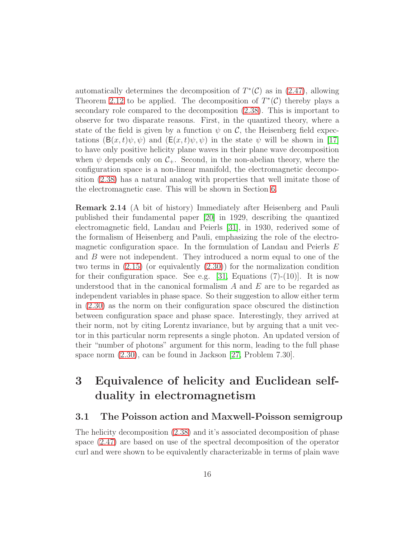automatically determines the decomposition of  $T^*(\mathcal{C})$  as in [\(2.47\)](#page-14-3), allowing Theorem [2.12](#page-14-4) to be applied. The decomposition of  $T^*(\mathcal{C})$  thereby plays a secondary role compared to the decomposition [\(2.38\)](#page-13-4). This is important to observe for two disparate reasons. First, in the quantized theory, where a state of the field is given by a function  $\psi$  on C, the Heisenberg field expectations  $(B(x, t)\psi, \psi)$  and  $(E(x, t)\psi, \psi)$  in the state  $\psi$  will be shown in [\[17\]](#page-48-0) to have only positive helicity plane waves in their plane wave decomposition when  $\psi$  depends only on  $\mathcal{C}_+$ . Second, in the non-abelian theory, where the configuration space is a non-linear manifold, the electromagnetic decomposition [\(2.38\)](#page-13-4) has a natural analog with properties that well imitate those of the electromagnetic case. This will be shown in Section [6.](#page-37-0)

Remark 2.14 (A bit of history) Immediately after Heisenberg and Pauli published their fundamental paper [\[20\]](#page-48-2) in 1929, describing the quantized electromagnetic field, Landau and Peierls [\[31\]](#page-49-3), in 1930, rederived some of the formalism of Heisenberg and Pauli, emphasizing the role of the electromagnetic configuration space. In the formulation of Landau and Peierls  $E$ and B were not independent. They introduced a norm equal to one of the two terms in  $(2.15)$  (or equivalently  $(2.30)$ ) for the normalization condition for their configuration space. See e.g.  $[31, \text{ Equations } (7)-(10)]$ . It is now understood that in the canonical formalism  $A$  and  $E$  are to be regarded as independent variables in phase space. So their suggestion to allow either term in [\(2.30\)](#page-10-1) as the norm on their configuration space obscured the distinction between configuration space and phase space. Interestingly, they arrived at their norm, not by citing Lorentz invariance, but by arguing that a unit vector in this particular norm represents a single photon. An updated version of their "number of photons" argument for this norm, leading to the full phase space norm [\(2.30\)](#page-10-1), can be found in Jackson [\[27,](#page-49-1) Problem 7.30].

# <span id="page-15-0"></span>3 Equivalence of helicity and Euclidean selfduality in electromagnetism

#### <span id="page-15-1"></span>3.1 The Poisson action and Maxwell-Poisson semigroup

The helicity decomposition [\(2.38\)](#page-13-4) and it's associated decomposition of phase space [\(2.47\)](#page-14-3) are based on use of the spectral decomposition of the operator curl and were shown to be equivalently characterizable in terms of plain wave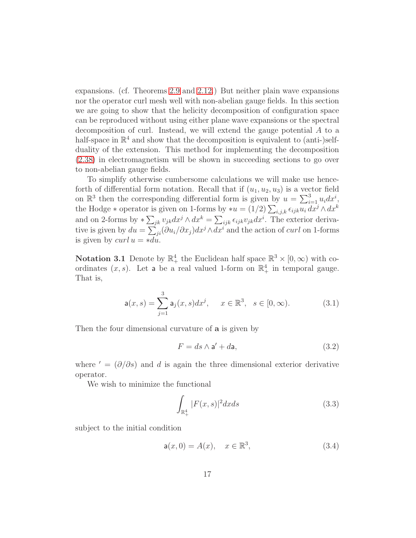expansions. (cf. Theorems [2.9](#page-10-2) and [2.12.](#page-14-4)) But neither plain wave expansions nor the operator curl mesh well with non-abelian gauge fields. In this section we are going to show that the helicity decomposition of configuration space can be reproduced without using either plane wave expansions or the spectral decomposition of curl. Instead, we will extend the gauge potential A to a half-space in  $\mathbb{R}^4$  and show that the decomposition is equivalent to (anti-)selfduality of the extension. This method for implementing the decomposition [\(2.38\)](#page-13-4) in electromagnetism will be shown in succeeding sections to go over to non-abelian gauge fields.

To simplify otherwise cumbersome calculations we will make use henceforth of differential form notation. Recall that if  $(u_1, u_2, u_3)$  is a vector field on  $\mathbb{R}^3$  then the corresponding differential form is given by  $u = \sum_{i=1}^3 u_i dx^i$ , the Hodge  $*$  operator is given on 1-forms by  $*u = (1/2) \sum_{i,j,k} \epsilon_{ijk} u_i dx^j \wedge dx^k$ and on 2-forms by  $*\sum_{jk} v_{jk} dx^j \wedge dx^k = \sum_{ijk} \epsilon_{ijk} v_{jk} dx^i$ . The exterior derivative is given by  $du = \sum_{ji} (\partial u_i / \partial x_j) dx^j \wedge dx^i$  and the action of curl on 1-forms is given by  $curl u = *du$ .

**Notation 3.1** Denote by  $\mathbb{R}^4_+$  the Euclidean half space  $\mathbb{R}^3 \times [0, \infty)$  with coordinates  $(x, s)$ . Let a be a real valued 1-form on  $\mathbb{R}^4_+$  in temporal gauge. That is,

$$
\mathsf{a}(x,s) = \sum_{j=1}^{3} \mathsf{a}_j(x,s) dx^j, \quad x \in \mathbb{R}^3, \quad s \in [0,\infty). \tag{3.1}
$$

Then the four dimensional curvature of **a** is given by

<span id="page-16-0"></span>
$$
F = ds \wedge \mathbf{a}' + d\mathbf{a},\tag{3.2}
$$

where  $' = (\partial/\partial s)$  and d is again the three dimensional exterior derivative operator.

We wish to minimize the functional

<span id="page-16-1"></span>
$$
\int_{\mathbb{R}_+^4} |F(x,s)|^2 dx ds \tag{3.3}
$$

subject to the initial condition

$$
a(x, 0) = A(x), \quad x \in \mathbb{R}^3,
$$
 (3.4)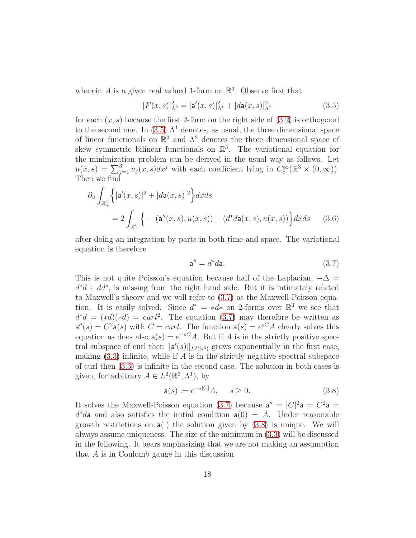wherein A is a given real valued 1-form on  $\mathbb{R}^3$ . Observe first that

<span id="page-17-0"></span>
$$
|F(x,s)|_{\Lambda^2}^2 = |\mathbf{a}'(x,s)|_{\Lambda^1}^2 + |d\mathbf{a}(x,s)|_{\Lambda^2}^2
$$
\n(3.5)

for each  $(x, s)$  because the first 2-form on the right side of  $(3.2)$  is orthogonal to the second one. In [\(3.5\)](#page-17-0)  $\Lambda$ <sup>1</sup> denotes, as usual, the three dimensional space of linear functionals on  $\mathbb{R}^3$  and  $\Lambda^2$  denotes the three dimensional space of skew symmetric bilinear functionals on  $\mathbb{R}^3$ . The variational equation for the minimization problem can be derived in the usual way as follows. Let  $u(x,s) = \sum_{j=1}^{3} u_j(x,s) dx^j$  with each coefficient lying in  $C_c^{\infty}(\mathbb{R}^3 \times (0,\infty)).$ Then we find

$$
\partial_u \int_{\mathbb{R}_+^4} \left\{ |\mathbf{a}'(x,s)|^2 + |d\mathbf{a}(x,s)|^2 \right\} dx ds
$$
  
=  $2 \int_{\mathbb{R}_+^4} \left\{ - (\mathbf{a}''(x,s), u(x,s)) + (d^* d\mathbf{a}(x,s), u(x,s)) \right\} dx ds$  (3.6)

after doing an integration by parts in both time and space. The variational equation is therefore

<span id="page-17-1"></span>
$$
\mathsf{a}'' = d^*d\mathsf{a}.\tag{3.7}
$$

This is not quite Poisson's equation because half of the Laplacian,  $-\Delta =$  $d^*d + dd^*$ , is missing from the right hand side. But it is intimately related to Maxwell's theory and we will refer to [\(3.7\)](#page-17-1) as the Maxwell-Poisson equation. It is easily solved. Since  $d^* = *d^*$  on 2-forms over  $\mathbb{R}^3$  we see that  $d^*d = (*d)(*d) = curl^2$ . The equation [\(3.7\)](#page-17-1) may therefore be written as  $a''(s) = C^2 a(s)$  with  $C = curl$ . The function  $a(s) = e^{sC} A$  clearly solves this equation as does also  $a(s) = e^{-sC}A$ . But if A is in the strictly positive spectral subspace of curl then  $\|\mathsf{a}'(s)\|_{L^2(\mathbb{R}^3)}$  grows exponentially in the first case, making  $(3.3)$  infinite, while if A is in the strictly negative spectral subspace of curl then [\(3.3\)](#page-16-1) is infinite in the second case. The solution in both cases is given, for arbitrary  $A \in L^2(\mathbb{R}^3, \Lambda^1)$ , by

<span id="page-17-2"></span>
$$
\mathsf{a}(s) := e^{-s|C|} A, \quad s \ge 0. \tag{3.8}
$$

It solves the Maxwell-Poisson equation [\(3.7\)](#page-17-1) because  $a'' = |C|^2 a = C^2 a$  $d^*d$  and also satisfies the initial condition  $a(0) = A$ . Under reasonable growth restrictions on  $a(\cdot)$  the solution given by [\(3.8\)](#page-17-2) is unique. We will always assume uniqueness. The size of the minimum in [\(3.3\)](#page-16-1) will be discussed in the following. It bears emphasizing that we are not making an assumption that A is in Coulomb gauge in this discussion.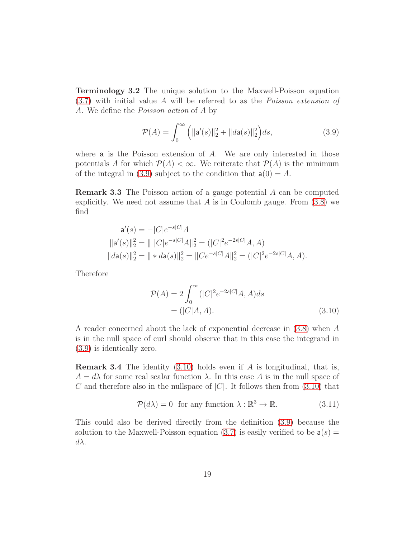Terminology 3.2 The unique solution to the Maxwell-Poisson equation [\(3.7\)](#page-17-1) with initial value A will be referred to as the Poisson extension of A. We define the Poisson action of A by

<span id="page-18-0"></span>
$$
\mathcal{P}(A) = \int_0^\infty \left( \| \mathbf{a}'(s) \|_2^2 + \| d\mathbf{a}(s) \|_2^2 \right) ds,\tag{3.9}
$$

where  $a$  is the Poisson extension of  $A$ . We are only interested in those potentials A for which  $\mathcal{P}(A) < \infty$ . We reiterate that  $\mathcal{P}(A)$  is the minimum of the integral in [\(3.9\)](#page-18-0) subject to the condition that  $a(0) = A$ .

Remark 3.3 The Poisson action of a gauge potential A can be computed explicitly. We need not assume that A is in Coulomb gauge. From  $(3.8)$  we find

$$
\mathbf{a}'(s) = -|C|e^{-s|C|}A
$$
  
\n
$$
\|\mathbf{a}'(s)\|_2^2 = \|\ |C|e^{-s|C|}A\|_2^2 = (|C|^2e^{-2s|C|}A, A)
$$
  
\n
$$
\|d\mathbf{a}(s)\|_2^2 = \|\ * d\mathbf{a}(s)\|_2^2 = \|Ce^{-s|C|}A\|_2^2 = (|C|^2e^{-2s|C|}A, A).
$$

Therefore

<span id="page-18-1"></span>
$$
\mathcal{P}(A) = 2 \int_0^\infty (|C|^2 e^{-2s|C|} A, A) ds
$$

$$
= (|C|A, A).
$$
(3.10)

A reader concerned about the lack of exponential decrease in [\(3.8\)](#page-17-2) when A is in the null space of curl should observe that in this case the integrand in [\(3.9\)](#page-18-0) is identically zero.

**Remark 3.4** The identity  $(3.10)$  holds even if A is longitudinal, that is,  $A = d\lambda$  for some real scalar function  $\lambda$ . In this case A is in the null space of C and therefore also in the nullspace of  $|C|$ . It follows then from [\(3.10\)](#page-18-1) that

<span id="page-18-2"></span>
$$
\mathcal{P}(d\lambda) = 0 \text{ for any function } \lambda : \mathbb{R}^3 \to \mathbb{R}.
$$
 (3.11)

This could also be derived directly from the definition [\(3.9\)](#page-18-0) because the solution to the Maxwell-Poisson equation [\(3.7\)](#page-17-1) is easily verified to be  $a(s) =$  $d\lambda$ .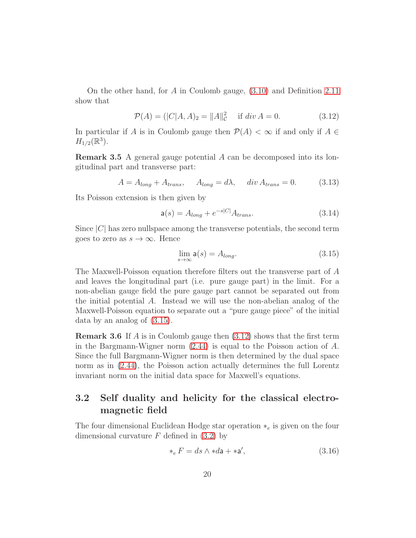On the other hand, for A in Coulomb gauge, [\(3.10\)](#page-18-1) and Definition [2.11](#page-13-5) show that

<span id="page-19-2"></span>
$$
\mathcal{P}(A) = (|C|A, A)_2 = ||A||_C^2 \quad \text{if } div A = 0.
$$
 (3.12)

In particular if A is in Coulomb gauge then  $\mathcal{P}(A) < \infty$  if and only if  $A \in$  $H_{1/2}(\mathbb{R}^3)$ .

Remark 3.5 A general gauge potential A can be decomposed into its longitudinal part and transverse part:

$$
A = A_{long} + A_{trans}, \qquad A_{long} = d\lambda, \qquad div \, A_{trans} = 0. \tag{3.13}
$$

Its Poisson extension is then given by

$$
\mathsf{a}(s) = A_{long} + e^{-s|C|} A_{trans}.\tag{3.14}
$$

Since  $|C|$  has zero nullspace among the transverse potentials, the second term goes to zero as  $s \to \infty$ . Hence

<span id="page-19-1"></span>
$$
\lim_{s \to \infty} \mathsf{a}(s) = A_{long}.\tag{3.15}
$$

The Maxwell-Poisson equation therefore filters out the transverse part of A and leaves the longitudinal part (i.e. pure gauge part) in the limit. For a non-abelian gauge field the pure gauge part cannot be separated out from the initial potential A. Instead we will use the non-abelian analog of the Maxwell-Poisson equation to separate out a "pure gauge piece" of the initial data by an analog of [\(3.15\)](#page-19-1).

**Remark 3.6** If A is in Coulomb gauge then  $(3.12)$  shows that the first term in the Bargmann-Wigner norm [\(2.44\)](#page-14-0) is equal to the Poisson action of A. Since the full Bargmann-Wigner norm is then determined by the dual space norm as in [\(2.44\)](#page-14-0), the Poisson action actually determines the full Lorentz invariant norm on the initial data space for Maxwell's equations.

## <span id="page-19-0"></span>3.2 Self duality and helicity for the classical electromagnetic field

The four dimensional Euclidean Hodge star operation  $*_e$  is given on the four dimensional curvature  $F$  defined in  $(3.2)$  by

$$
*_e F = ds \wedge * d\mathbf{a} + *\mathbf{a}',\tag{3.16}
$$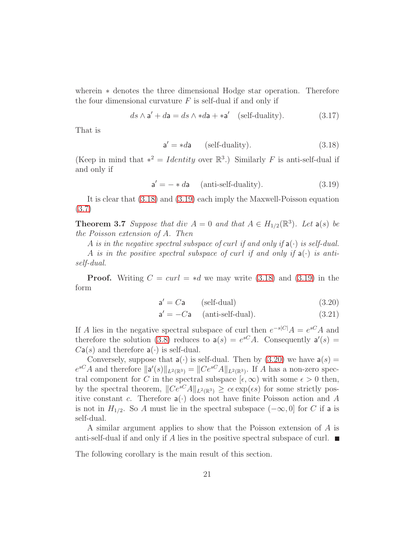wherein ∗ denotes the three dimensional Hodge star operation. Therefore the four dimensional curvature  $F$  is self-dual if and only if

$$
ds \wedge \mathbf{a}' + d\mathbf{a} = ds \wedge *d\mathbf{a} + *\mathbf{a}' \quad \text{(self-duality)}.
$$
 (3.17)

That is

<span id="page-20-1"></span><span id="page-20-0"></span>
$$
a' = *da \qquad \text{(self-duality)}.\tag{3.18}
$$

(Keep in mind that  $*^2 = Identity$  over  $\mathbb{R}^3$ .) Similarly F is anti-self-dual if and only if

$$
\mathbf{a}' = - * d\mathbf{a} \quad \text{(anti-self-duality)}.\tag{3.19}
$$

<span id="page-20-3"></span>It is clear that [\(3.18\)](#page-20-0) and [\(3.19\)](#page-20-1) each imply the Maxwell-Poisson equation [\(3.7\)](#page-17-1)

**Theorem 3.7** Suppose that div  $A = 0$  and that  $A \in H_{1/2}(\mathbb{R}^3)$ . Let  $\mathsf{a}(s)$  be the Poisson extension of A. Then

A is in the negative spectral subspace of curl if and only if  $a(\cdot)$  is self-dual. A is in the positive spectral subspace of curl if and only if  $a(\cdot)$  is antiself-dual.

**Proof.** Writing  $C = \text{curl} = *d$  we may write [\(3.18\)](#page-20-0) and [\(3.19\)](#page-20-1) in the form

<span id="page-20-2"></span>
$$
a' = Ca \qquad \text{(self-dual)} \tag{3.20}
$$

$$
\mathbf{a}' = -C\mathbf{a} \quad \text{(anti-self-dual)}.\tag{3.21}
$$

If A lies in the negative spectral subspace of curl then  $e^{-s|C|}A = e^{sC}A$  and therefore the solution [\(3.8\)](#page-17-2) reduces to  $a(s) = e^{sC}A$ . Consequently  $a'(s) =$  $Ca(s)$  and therefore  $a(\cdot)$  is self-dual.

Conversely, suppose that  $a(\cdot)$  is self-dual. Then by [\(3.20\)](#page-20-2) we have  $a(s)$  =  $e^{sC}A$  and therefore  $\|\mathbf{a}'(s)\|_{L^2(\mathbb{R}^3)} = \|Ce^{sC}A\|_{L^2(\mathbb{R}^3)}$ . If A has a non-zero spectral component for C in the spectral subspace  $[\epsilon, \infty)$  with some  $\epsilon > 0$  then, by the spectral theorem,  $||Ce^{sC}A||_{L^2(\mathbb{R}^3)} \geq ce \exp(\epsilon s)$  for some strictly positive constant c. Therefore  $a(\cdot)$  does not have finite Poisson action and A is not in  $H_{1/2}$ . So A must lie in the spectral subspace  $(-\infty, 0]$  for C if a is self-dual.

A similar argument applies to show that the Poisson extension of A is anti-self-dual if and only if A lies in the positive spectral subspace of curl.  $\blacksquare$ 

The following corollary is the main result of this section.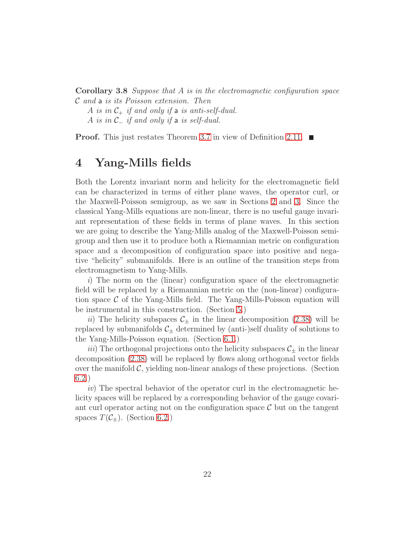Corollary 3.8 Suppose that A is in the electromagnetic configuration space <sup>C</sup> and <sup>a</sup> is its Poisson extension. Then

A is in  $C_+$  if and only if a is anti-self-dual.

A is in  $\mathcal{C}_-$  if and only if a is self-dual.

<span id="page-21-0"></span>**Proof.** This just restates Theorem [3.7](#page-20-3) in view of Definition [2.11.](#page-13-5)  $\blacksquare$ 

## 4 Yang-Mills fields

Both the Lorentz invariant norm and helicity for the electromagnetic field can be characterized in terms of either plane waves, the operator curl, or the Maxwell-Poisson semigroup, as we saw in Sections [2](#page-5-0) and [3.](#page-15-0) Since the classical Yang-Mills equations are non-linear, there is no useful gauge invariant representation of these fields in terms of plane waves. In this section we are going to describe the Yang-Mills analog of the Maxwell-Poisson semigroup and then use it to produce both a Riemannian metric on configuration space and a decomposition of configuration space into positive and negative "helicity" submanifolds. Here is an outline of the transition steps from electromagnetism to Yang-Mills.

i) The norm on the (linear) configuration space of the electromagnetic field will be replaced by a Riemannian metric on the (non-linear) configuration space  $\mathcal C$  of the Yang-Mills field. The Yang-Mills-Poisson equation will be instrumental in this construction. (Section [5.](#page-22-0))

ii) The helicity subspaces  $\mathcal{C}_{\pm}$  in the linear decomposition [\(2.38\)](#page-13-4) will be replaced by submanifolds  $\mathcal{C}_{\pm}$  determined by (anti-)self duality of solutions to the Yang-Mills-Poisson equation. (Section [6.1.](#page-37-1))

iii) The orthogonal projections onto the helicity subspaces  $\mathcal{C}_\pm$  in the linear decomposition [\(2.38\)](#page-13-4) will be replaced by flows along orthogonal vector fields over the manifold  $\mathcal{C}$ , yielding non-linear analogs of these projections. (Section [6.2.](#page-39-0))

iv) The spectral behavior of the operator curl in the electromagnetic helicity spaces will be replaced by a corresponding behavior of the gauge covariant curl operator acting not on the configuration space  $\mathcal C$  but on the tangent spaces  $T(\mathcal{C}_\pm)$ . (Section [6.2.](#page-39-0))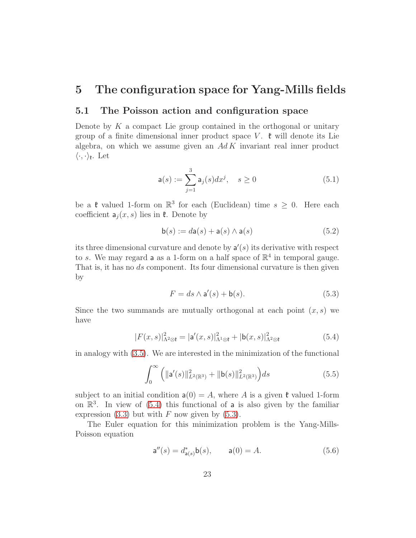## <span id="page-22-1"></span><span id="page-22-0"></span>5 The configuration space for Yang-Mills fields

#### 5.1 The Poisson action and configuration space

Denote by  $K$  a compact Lie group contained in the orthogonal or unitary group of a finite dimensional inner product space V.  $\mathfrak{k}$  will denote its Lie algebra, on which we assume given an  $Ad K$  invariant real inner product  $\langle \cdot, \cdot \rangle_{\mathfrak{k}}$ . Let

$$
\mathsf{a}(s) := \sum_{j=1}^{3} \mathsf{a}_j(s) dx^j, \quad s \ge 0 \tag{5.1}
$$

be a  $\mathfrak{k}$  valued 1-form on  $\mathbb{R}^3$  for each (Euclidean) time  $s \geq 0$ . Here each coefficient  $a_j(x, s)$  lies in  $\mathfrak k$ . Denote by

$$
\mathsf{b}(s) := d\mathsf{a}(s) + \mathsf{a}(s) \land \mathsf{a}(s)
$$
\n
$$
(5.2)
$$

its three dimensional curvature and denote by  $a'(s)$  its derivative with respect to s. We may regard **a** as a 1-form on a half space of  $\mathbb{R}^4$  in temporal gauge. That is, it has no ds component. Its four dimensional curvature is then given by

<span id="page-22-5"></span><span id="page-22-3"></span><span id="page-22-2"></span>
$$
F = ds \wedge \mathbf{a}'(s) + \mathbf{b}(s). \tag{5.3}
$$

Since the two summands are mutually orthogonal at each point  $(x, s)$  we have

$$
|F(x,s)|^2_{\Lambda^2 \otimes \mathfrak{k}} = |\mathsf{a}'(x,s)|^2_{\Lambda^1 \otimes \mathfrak{k}} + |\mathsf{b}(x,s)|^2_{\Lambda^2 \otimes \mathfrak{k}} \tag{5.4}
$$

in analogy with [\(3.5\)](#page-17-0). We are interested in the minimization of the functional

$$
\int_0^\infty \left( \| \mathbf{a}'(s) \|_{L^2(\mathbb{R}^3)}^2 + \| \mathbf{b}(s) \|_{L^2(\mathbb{R}^3)}^2 \right) ds \tag{5.5}
$$

subject to an initial condition  $a(0) = A$ , where A is a given  $\mathfrak{k}$  valued 1-form on  $\mathbb{R}^3$ . In view of [\(5.4\)](#page-22-2) this functional of **a** is also given by the familiar expression  $(3.3)$  but with F now given by  $(5.3)$ .

The Euler equation for this minimization problem is the Yang-Mills-Poisson equation

<span id="page-22-4"></span>
$$
\mathsf{a}''(s) = d^*_{\mathsf{a}(s)} \mathsf{b}(s), \qquad \mathsf{a}(0) = A. \tag{5.6}
$$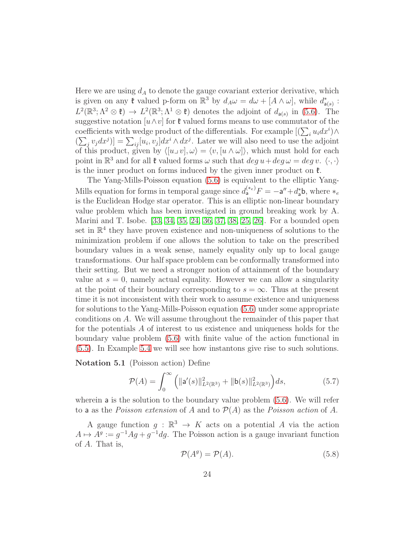Here we are using  $d_A$  to denote the gauge covariant exterior derivative, which is given on any  $\mathfrak k$  valued p-form on  $\mathbb R^3$  by  $d_A\omega = d\omega + [A \wedge \omega]$ , while  $d_{\mathsf{a}(s)}^*$ :  $L^2(\mathbb{R}^3; \Lambda^2 \otimes \mathfrak{k}) \to L^2(\mathbb{R}^3; \Lambda^1 \otimes \mathfrak{k})$  denotes the adjoint of  $d_{\mathsf{a}(s)}$  in [\(5.6\)](#page-22-4). The suggestive notation  $[u \wedge v]$  for  $\mathfrak{k}$  valued forms means to use commutator of the coefficients with wedge product of the differentials. For example  $[(\sum_i u_i dx^i) \wedge$  $(\sum_j v_j dx^j)$  =  $\sum_{ij} [u_i, v_j] dx^i \wedge dx^j$ . Later we will also need to use the adjoint of this product, given by  $\langle [u_{\perp} v], \omega \rangle = \langle v, [u \wedge \omega] \rangle$ , which must hold for each point in  $\mathbb{R}^3$  and for all  $\mathfrak k$  valued forms  $\omega$  such that  $deg u + deg \omega = deg v$ .  $\langle \cdot, \cdot \rangle$ is the inner product on forms induced by the given inner product on  $\mathfrak{k}$ .

The Yang-Mills-Poisson equation [\(5.6\)](#page-22-4) is equivalent to the elliptic Yang-Mills equation for forms in temporal gauge since  $d_{a}^{(*e)}F = -a'' + d_{a}^{*}b$ , where  $*_e$ is the Euclidean Hodge star operator. This is an elliptic non-linear boundary value problem which has been investigated in ground breaking work by A. Marini and T. Isobe. [\[33,](#page-49-4) [34,](#page-49-5) [35,](#page-49-6) [24,](#page-48-3) [36,](#page-49-7) [37,](#page-50-0) [38,](#page-50-1) [25,](#page-48-4) [26\]](#page-48-5). For a bounded open set in  $\mathbb{R}^4$  they have proven existence and non-uniqueness of solutions to the minimization problem if one allows the solution to take on the prescribed boundary values in a weak sense, namely equality only up to local gauge transformations. Our half space problem can be conformally transformed into their setting. But we need a stronger notion of attainment of the boundary value at  $s = 0$ , namely actual equality. However we can allow a singularity at the point of their boundary corresponding to  $s = \infty$ . Thus at the present time it is not inconsistent with their work to assume existence and uniqueness for solutions to the Yang-Mills-Poisson equation [\(5.6\)](#page-22-4) under some appropriate conditions on A. We will assume throughout the remainder of this paper that for the potentials A of interest to us existence and uniqueness holds for the boundary value problem [\(5.6\)](#page-22-4) with finite value of the action functional in [\(5.5\)](#page-22-5). In Example [5.4](#page-26-1) we will see how instantons give rise to such solutions.

Notation 5.1 (Poisson action) Define

$$
\mathcal{P}(A) = \int_0^\infty \left( \| \mathbf{a}'(s) \|_{L^2(\mathbb{R}^3)}^2 + \| \mathbf{b}(s) \|_{L^2(\mathbb{R}^3)}^2 \right) ds,\tag{5.7}
$$

wherein **a** is the solution to the boundary value problem  $(5.6)$ . We will refer to a as the Poisson extension of A and to  $\mathcal{P}(A)$  as the Poisson action of A.

A gauge function  $g : \mathbb{R}^3 \to K$  acts on a potential A via the action  $A \mapsto A^g := g^{-1}Ag + g^{-1}dg$ . The Poisson action is a gauge invariant function of A. That is,

<span id="page-23-1"></span><span id="page-23-0"></span>
$$
\mathcal{P}(A^g) = \mathcal{P}(A). \tag{5.8}
$$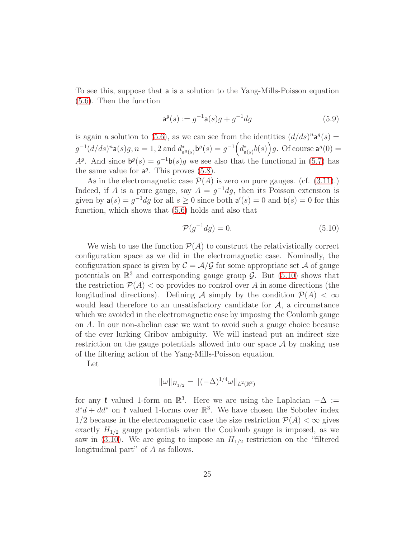To see this, suppose that a is a solution to the Yang-Mills-Poisson equation [\(5.6\)](#page-22-4). Then the function

<span id="page-24-1"></span>
$$
\mathbf{a}^g(s) := g^{-1}\mathbf{a}(s)g + g^{-1}dg\tag{5.9}
$$

is again a solution to [\(5.6\)](#page-22-4), as we can see from the identities  $(d/ds)^n a^g(s) =$  $g^{-1}(d/ds)^n \mathsf{a}(s)g, n = 1, 2 \text{ and } d^*_{\mathsf{a}^g(s)} \mathsf{b}^g(s) = g^{-1}\Big(d^*_{\mathsf{a}(s)}b(s)\Big)g. \text{ Of course } \mathsf{a}^g(0) =$  $A<sup>g</sup>$ . And since  $b<sup>g</sup>(s) = g<sup>-1</sup>b(s)g$  we see also that the functional in [\(5.7\)](#page-23-0) has the same value for  $a^g$ . This proves [\(5.8\)](#page-23-1).

As in the electromagnetic case  $\mathcal{P}(A)$  is zero on pure gauges. (cf. [\(3.11\)](#page-18-2).) Indeed, if A is a pure gauge, say  $A = g^{-1}dg$ , then its Poisson extension is given by  $a(s) = g^{-1} dg$  for all  $s \ge 0$  since both  $a'(s) = 0$  and  $b(s) = 0$  for this function, which shows that [\(5.6\)](#page-22-4) holds and also that

<span id="page-24-0"></span>
$$
\mathcal{P}(g^{-1}dg) = 0.\tag{5.10}
$$

We wish to use the function  $\mathcal{P}(A)$  to construct the relativistically correct configuration space as we did in the electromagnetic case. Nominally, the configuration space is given by  $\mathcal{C} = \mathcal{A}/\mathcal{G}$  for some appropriate set  $\mathcal A$  of gauge potentials on  $\mathbb{R}^3$  and corresponding gauge group  $\mathcal{G}$ . But [\(5.10\)](#page-24-0) shows that the restriction  $\mathcal{P}(A) < \infty$  provides no control over A in some directions (the longitudinal directions). Defining A simply by the condition  $\mathcal{P}(A) < \infty$ would lead therefore to an unsatisfactory candidate for  $A$ , a circumstance which we avoided in the electromagnetic case by imposing the Coulomb gauge on A. In our non-abelian case we want to avoid such a gauge choice because of the ever lurking Gribov ambiguity. We will instead put an indirect size restriction on the gauge potentials allowed into our space  $A$  by making use of the filtering action of the Yang-Mills-Poisson equation.

Let

$$
\|\omega\|_{H_{1/2}} = \|(-\Delta)^{1/4}\omega\|_{L^2(\mathbb{R}^3)}
$$

for any  $\mathfrak{k}$  valued 1-form on  $\mathbb{R}^3$ . Here we are using the Laplacian  $-\Delta :=$  $d^*d + dd^*$  on  $\mathfrak{k}$  valued 1-forms over  $\mathbb{R}^3$ . We have chosen the Sobolev index 1/2 because in the electromagnetic case the size restriction  $\mathcal{P}(A) < \infty$  gives exactly  $H_{1/2}$  gauge potentials when the Coulomb gauge is imposed, as we saw in [\(3.10\)](#page-18-1). We are going to impose an  $H_{1/2}$  restriction on the "filtered" longitudinal part" of A as follows.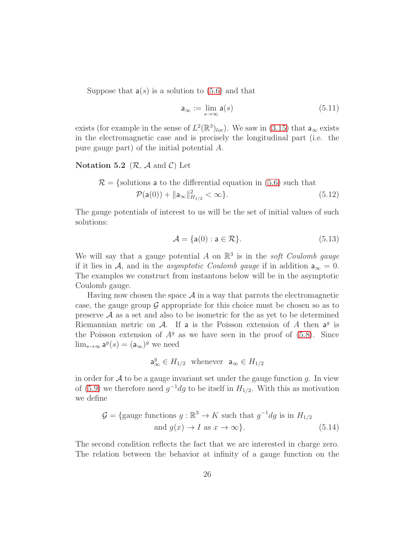Suppose that  $a(s)$  is a solution to [\(5.6\)](#page-22-4) and that

$$
\mathsf{a}_{\infty} := \lim_{s \to \infty} \mathsf{a}(s) \tag{5.11}
$$

exists (for example in the sense of  $L^2(\mathbb{R}^3)_{loc}$ ). We saw in [\(3.15\)](#page-19-1) that  $a_{\infty}$  exists in the electromagnetic case and is precisely the longitudinal part (i.e. the pure gauge part) of the initial potential A.

#### Notation 5.2  $(\mathcal{R}, \mathcal{A} \text{ and } \mathcal{C})$  Let

$$
\mathcal{R} = \{\text{solutions a to the differential equation in (5.6) such that} \quad \mathcal{P}(\mathsf{a}(0)) + ||\mathsf{a}_{\infty}||_{H_{1/2}}^2 < \infty\}. \tag{5.12}
$$

The gauge potentials of interest to us will be the set of initial values of such solutions:

$$
\mathcal{A} = \{ \mathsf{a}(0) : \mathsf{a} \in \mathcal{R} \}. \tag{5.13}
$$

We will say that a gauge potential A on  $\mathbb{R}^3$  is in the *soft Coulomb gauge* if it lies in A, and in the asymptotic Coulomb gauge if in addition  $a_{\infty} = 0$ . The examples we construct from instantons below will be in the asymptotic Coulomb gauge.

Having now chosen the space  $\mathcal A$  in a way that parrots the electromagnetic case, the gauge group  $\mathcal G$  appropriate for this choice must be chosen so as to preserve  $A$  as a set and also to be isometric for the as yet to be determined Riemannian metric on  $\mathcal{A}$ . If a is the Poisson extension of  $A$  then  $a^g$  is the Poisson extension of  $A<sup>g</sup>$  as we have seen in the proof of [\(5.8\)](#page-23-1). Since  $\lim_{s\to\infty} \mathsf{a}^g(s) = (\mathsf{a}_{\infty})^g$  we need

<span id="page-25-0"></span>
$$
\mathsf{a}^g_\infty \in H_{1/2} \quad \text{whenever} \quad \mathsf{a}_\infty \in H_{1/2}
$$

in order for  $A$  to be a gauge invariant set under the gauge function g. In view of [\(5.9\)](#page-24-1) we therefore need  $g^{-1}dg$  to be itself in  $H_{1/2}$ . With this as motivation we define

$$
\mathcal{G} = \{\text{gauge functions } g : \mathbb{R}^3 \to K \text{ such that } g^{-1} dg \text{ is in } H_{1/2} \text{ and } g(x) \to I \text{ as } x \to \infty\}. \tag{5.14}
$$

The second condition reflects the fact that we are interested in charge zero. The relation between the behavior at infinity of a gauge function on the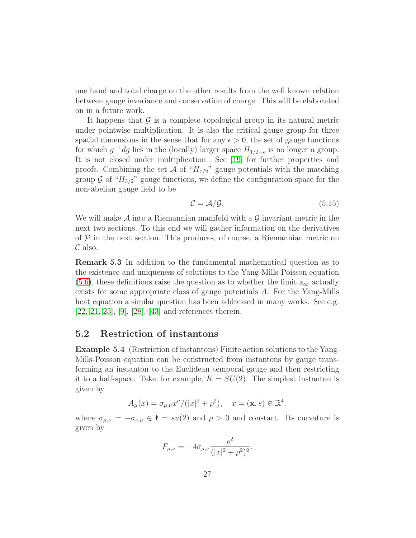one hand and total charge on the other results from the well known relation between gauge invariance and conservation of charge. This will be elaborated on in a future work.

It happens that  $\mathcal G$  is a complete topological group in its natural metric under pointwise multiplication. It is also the critical gauge group for three spatial dimensions in the sense that for any  $\epsilon > 0$ , the set of gauge functions for which  $g^{-1}dg$  lies in the (locally) larger space  $H_{1/2-\epsilon}$  is no longer a group: It is not closed under multiplication. See [\[19\]](#page-48-6) for further properties and proofs. Combining the set A of " $H_{1/2}$ " gauge potentials with the matching group  $\mathcal G$  of " $H_{3/2}$ " gauge functions, we define the configuration space for the non-abelian gauge field to be

$$
C = \mathcal{A}/\mathcal{G}.\tag{5.15}
$$

We will make  $A$  into a Riemannian manifold with a  $G$  invariant metric in the next two sections. To this end we will gather information on the derivatives of  $P$  in the next section. This produces, of course, a Riemannian metric on  $\mathcal C$  also.

<span id="page-26-2"></span>Remark 5.3 In addition to the fundamental mathematical question as to the existence and uniqueness of solutions to the Yang-Mills-Poisson equation  $(5.6)$ , these definitions raise the question as to whether the limit  $a_{\infty}$  actually exists for some appropriate class of gauge potentials A. For the Yang-Mills heat equation a similar question has been addressed in many works. See e.g. [\[22,](#page-48-7) [21,](#page-48-8) [23\]](#page-48-9), [\[9\]](#page-47-2), [\[28\]](#page-49-8), [\[43\]](#page-50-2) and references therein.

#### <span id="page-26-1"></span><span id="page-26-0"></span>5.2 Restriction of instantons

Example 5.4 (Restriction of instantons) Finite action solutions to the Yang-Mills-Poisson equation can be constructed from instantons by gauge transforming an instanton to the Euclidean temporal gauge and then restricting it to a half-space. Take, for example,  $K = SU(2)$ . The simplest instanton is given by

$$
A_{\mu}(x) = \sigma_{\mu,\nu} x^{\nu} / (|x|^2 + \rho^2), \quad x = (\mathbf{x}, s) \in \mathbb{R}^4.
$$

where  $\sigma_{\mu,\nu} = -\sigma_{\nu,\mu} \in \mathfrak{k} = su(2)$  and  $\rho > 0$  and constant. Its curvature is given by

$$
F_{\mu,\nu} = -4\sigma_{\mu,\nu} \frac{\rho^2}{(|x|^2 + \rho^2)^2}.
$$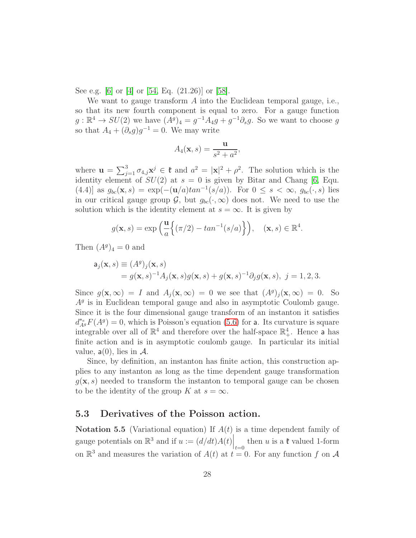See e.g. [\[6\]](#page-47-3) or [\[4\]](#page-46-3) or [\[54,](#page-51-0) Eq. (21.26)] or [\[58\]](#page-52-0).

We want to gauge transform A into the Euclidean temporal gauge, i.e., so that its new fourth component is equal to zero. For a gauge function  $g: \mathbb{R}^4 \to SU(2)$  we have  $(A^g)_4 = g^{-1}A_4g + g^{-1}\partial_s g$ . So we want to choose g so that  $A_4 + (\partial_s g)g^{-1} = 0$ . We may write

$$
A_4(\mathbf{x},s) = \frac{\mathbf{u}}{s^2 + a^2},
$$

where  $\mathbf{u} = \sum_{j=1}^{3} \sigma_{4,j} \mathbf{x}^{j} \in \mathfrak{k}$  and  $a^2 = |\mathbf{x}|^2 + \rho^2$ . The solution which is the identity element of  $SU(2)$  at  $s = 0$  is given by Bitar and Chang [\[6,](#page-47-3) Equ. (4.4)] as  $g_{bc}(\mathbf{x}, s) = \exp(-(\mathbf{u}/a)tan^{-1}(s/a))$ . For  $0 \leq s < \infty$ ,  $g_{bc}(\cdot, s)$  lies in our critical gauge group  $\mathcal{G}$ , but  $g_{bc}(\cdot,\infty)$  does not. We need to use the solution which is the identity element at  $s = \infty$ . It is given by

$$
g(\mathbf{x}, s) = \exp\left(\frac{\mathbf{u}}{a}\left\{(\pi/2) - \tan^{-1}(s/a)\right\}\right), \quad (\mathbf{x}, s) \in \mathbb{R}^4.
$$

Then  $(A^g)_4 = 0$  and

$$
\mathbf{a}_{j}(\mathbf{x}, s) \equiv (A^{g})_{j}(\mathbf{x}, s)
$$
  
=  $g(\mathbf{x}, s)^{-1} A_{j}(\mathbf{x}, s) g(\mathbf{x}, s) + g(\mathbf{x}, s)^{-1} \partial_{j} g(\mathbf{x}, s), j = 1, 2, 3.$ 

Since  $g(\mathbf{x}, \infty) = I$  and  $A_j(\mathbf{x}, \infty) = 0$  we see that  $(A^g)_j(\mathbf{x}, \infty) = 0$ . So  $A<sup>g</sup>$  is in Euclidean temporal gauge and also in asymptotic Coulomb gauge. Since it is the four dimensional gauge transform of an instanton it satisfies  $d_{A^g}^{*_e}F(A^g) = 0$ , which is Poisson's equation [\(5.6\)](#page-22-4) for a. Its curvature is square integrable over all of  $\mathbb{R}^4$  and therefore over the half-space  $\mathbb{R}^4_+$ . Hence a has finite action and is in asymptotic coulomb gauge. In particular its initial value,  $a(0)$ , lies in A.

Since, by definition, an instanton has finite action, this construction applies to any instanton as long as the time dependent gauge transformation  $g(\mathbf{x}, s)$  needed to transform the instanton to temporal gauge can be chosen to be the identity of the group K at  $s = \infty$ .

### <span id="page-27-0"></span>5.3 Derivatives of the Poisson action.

**Notation 5.5** (Variational equation) If  $A(t)$  is a time dependent family of gauge potentials on  $\mathbb{R}^3$  and if  $u := (d/dt)A(t)\Big|_{t=0}$  then u is a  $\mathfrak{k}$  valued 1-form on  $\mathbb{R}^3$  and measures the variation of  $A(t)$  at  $t = 0$ . For any function f on A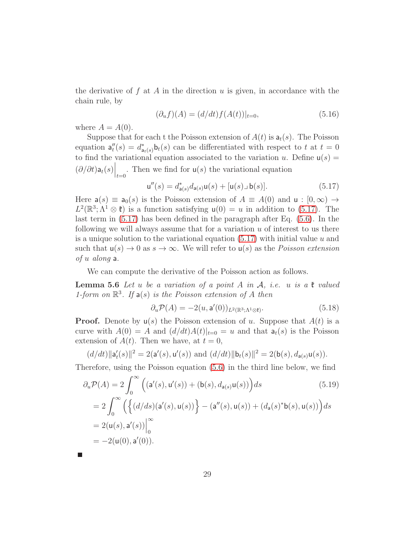the derivative of f at A in the direction u is given, in accordance with the chain rule, by

$$
(\partial_u f)(A) = (d/dt) f(A(t))|_{t=0}, \tag{5.16}
$$

where  $A = A(0)$ .

Suppose that for each t the Poisson extension of  $A(t)$  is  $a_t(s)$ . The Poisson equation  $a''_t(s) = d^*_{a_t(s)} b_t(s)$  can be differentiated with respect to t at  $t = 0$ to find the variational equation associated to the variation u. Define  $u(s) =$  $(\partial/\partial t)\mathsf{a}_t(s)\Big|_{t=0}$ . Then we find for  $\mathsf{u}(s)$  the variational equation

<span id="page-28-0"></span>
$$
\mathbf{u}''(s) = d^*_{\mathbf{a}(s)} d_{\mathbf{a}(s)} \mathbf{u}(s) + [\mathbf{u}(s) \lrcorner \ \mathbf{b}(s)]. \tag{5.17}
$$

Here  $a(s) \equiv a_0(s)$  is the Poisson extension of  $A \equiv A(0)$  and  $u : [0, \infty) \rightarrow$  $L^2(\mathbb{R}^3; \Lambda^1 \otimes \mathfrak{k})$  is a function satisfying  $\mathsf{u}(0) = u$  in addition to [\(5.17\)](#page-28-0). The last term in [\(5.17\)](#page-28-0) has been defined in the paragraph after Eq. [\(5.6\)](#page-22-4). In the following we will always assume that for a variation  $u$  of interest to us there is a unique solution to the variational equation  $(5.17)$  with initial value u and such that  $u(s) \to 0$  as  $s \to \infty$ . We will refer to  $u(s)$  as the *Poisson extension* of u along a.

We can compute the derivative of the Poisson action as follows.

**Lemma 5.6** Let u be a variation of a point A in  $\mathcal{A}$ , i.e. u is a  $\mathfrak{k}$  valued 1-form on  $\mathbb{R}^3$ . If  $a(s)$  is the Poisson extension of A then

<span id="page-28-2"></span><span id="page-28-1"></span>
$$
\partial_u \mathcal{P}(A) = -2(u, \mathbf{a}'(0))_{L^2(\mathbb{R}^3; \Lambda^1 \otimes \mathfrak{k})}.\tag{5.18}
$$

**Proof.** Denote by  $u(s)$  the Poisson extension of u. Suppose that  $A(t)$  is a curve with  $A(0) = A$  and  $\left(\frac{d}{dt}A(t)\right)|_{t=0} = u$  and that  $a_t(s)$  is the Poisson extension of  $A(t)$ . Then we have, at  $t = 0$ ,

$$
(d/dt) \|\mathbf{a}'_t(s)\|^2 = 2(\mathbf{a}'(s), \mathbf{u}'(s)) \text{ and } (d/dt) \|\mathbf{b}_t(s)\|^2 = 2(\mathbf{b}(s), d_{\mathbf{a}(s)}\mathbf{u}(s)).
$$

Therefore, using the Poisson equation [\(5.6\)](#page-22-4) in the third line below, we find

$$
\partial_u \mathcal{P}(A) = 2 \int_0^\infty \left( (\mathbf{a}'(s), \mathbf{u}'(s)) + (\mathbf{b}(s), d_{\mathbf{a}(s)} \mathbf{u}(s)) \right) ds \tag{5.19}
$$
  
=  $2 \int_0^\infty \left( \left\{ (d/ds)(\mathbf{a}'(s), \mathbf{u}(s)) \right\} - (\mathbf{a}''(s), \mathbf{u}(s)) + (d_\mathbf{a}(s)^* \mathbf{b}(s), \mathbf{u}(s)) \right\} ds$   
=  $2(\mathbf{u}(s), \mathbf{a}'(s)) \Big|_0^\infty$   
=  $-2(\mathbf{u}(0), \mathbf{a}'(0)).$  (5.19)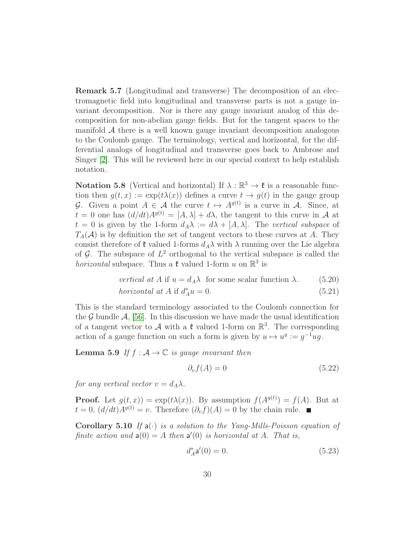Remark 5.7 (Longitudinal and transverse) The decomposition of an electromagnetic field into longitudinal and transverse parts is not a gauge invariant decomposition. Nor is there any gauge invariant analog of this decomposition for non-abelian gauge fields. But for the tangent spaces to the manifold  $A$  there is a well known gauge invariant decomposition analogous to the Coulomb gauge. The terminology, vertical and horizontal, for the differential analogs of longitudinal and transverse goes back to Ambrose and Singer [\[2\]](#page-46-4). This will be reviewed here in our special context to help establish notation.

Notation 5.8 (Vertical and horizontal) If  $\lambda : \mathbb{R}^3 \to \mathfrak{k}$  is a reasonable function then  $q(t, x) := \exp(t\lambda(x))$  defines a curve  $t \to q(t)$  in the gauge group G. Given a point  $A \in \mathcal{A}$  the curve  $t \mapsto A^{g(t)}$  is a curve in A. Since, at  $t = 0$  one has  $(d/dt)A^{g(t)} = [A, \lambda] + d\lambda$ , the tangent to this curve in A at  $t = 0$  is given by the 1-form  $d_A \lambda := d\lambda + [A, \lambda]$ . The vertical subspace of  $T_A(\mathcal{A})$  is by definition the set of tangent vectors to these curves at A. They consist therefore of  $\mathfrak k$  valued 1-forms  $d_A\lambda$  with  $\lambda$  running over the Lie algebra of G. The subspace of  $L^2$  orthogonal to the vertical subspace is called the *horizontal* subspace. Thus a  $\mathfrak k$  valued 1-form u on  $\mathbb{R}^3$  is

vertical at A if 
$$
u = d_A \lambda
$$
 for some scalar function  $\lambda$ . (5.20)  
horizontal at A if  $d_A^* u = 0$ . (5.21)

This is the standard terminology associated to the Coulomb connection for the G bundle  $A$ , [\[56\]](#page-51-1). In this discussion we have made the usual identification of a tangent vector to A with a  $\mathfrak k$  valued 1-form on  $\mathbb R^3$ . The corresponding action of a gauge function on such a form is given by  $u \mapsto u^g := g^{-1}ug$ .

<span id="page-29-0"></span>**Lemma 5.9** If  $f : A \to \mathbb{C}$  is gauge invariant then

$$
\partial_v f(A) = 0 \tag{5.22}
$$

for any vertical vector  $v = d_A \lambda$ .

**Proof.** Let  $g(t, x)$  =  $\exp(t\lambda(x))$ . By assumption  $f(A^{g(t)}) = f(A)$ . But at  $t = 0$ ,  $(d/dt)A^{g(t)} = v$ . Therefore  $(\partial_v f)(A) = 0$  by the chain rule.

Corollary 5.10 If  $a(\cdot)$  is a solution to the Yang-Mills-Poisson equation of finite action and  $a(0) = A$  then  $a'(0)$  is horizontal at A. That is,

<span id="page-29-1"></span>
$$
d_A^* \mathbf{a}'(0) = 0. \tag{5.23}
$$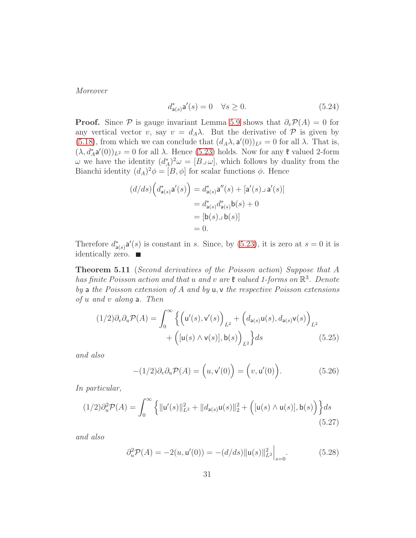Moreover

$$
d_{\mathsf{a}(s)}^* \mathsf{a}'(s) = 0 \quad \forall s \ge 0. \tag{5.24}
$$

**Proof.** Since  $\mathcal P$  is gauge invariant Lemma [5.9](#page-29-0) shows that  $\partial_v \mathcal P(A) = 0$  for any vertical vector v, say  $v = d_A \lambda$ . But the derivative of P is given by [\(5.18\)](#page-28-1), from which we can conclude that  $(d_A\lambda, \mathsf{a'}(0))_{L^2} = 0$  for all  $\lambda$ . That is,  $(\lambda, d_A^* \mathsf{a}'(0))_{L^2} = 0$  for all  $\lambda$ . Hence [\(5.23\)](#page-29-1) holds. Now for any  $\mathfrak k$  valued 2-form  $\omega$  we have the identity  $(d_A^*)^2 \omega = [B \cup \omega]$ , which follows by duality from the Bianchi identity  $(d_A)^2 \phi = [B, \phi]$  for scalar functions  $\phi$ . Hence

$$
(d/ds)\left(d_{\mathsf{a}(s)}^*\mathsf{a}'(s)\right) = d_{\mathsf{a}(s)}^*\mathsf{a}''(s) + [\mathsf{a}'(s)\mathsf{a}'(s)]
$$

$$
= d_{\mathsf{a}(s)}^*d_{\mathsf{a}(s)}^*\mathsf{b}(s) + 0
$$

$$
= [\mathsf{b}(s)\mathsf{a}]\mathsf{b}(s)]
$$

$$
= 0.
$$

Therefore  $d_{\mathsf{a}(s)}^* \mathsf{a}'(s)$  is constant in s. Since, by [\(5.23\)](#page-29-1), it is zero at  $s = 0$  it is identically zero.  $\blacksquare$ 

Theorem 5.11 (Second derivatives of the Poisson action) Suppose that A has finite Poisson action and that u and v are  $\mathfrak k$  valued 1-forms on  $\mathbb R^3$ . Denote by a the Poisson extension of  $A$  and by  $\mu$ ,  $\nu$  the respective Poisson extensions of u and v along a. Then

$$
(1/2)\partial_v \partial_u \mathcal{P}(A) = \int_0^\infty \left\{ \left( \mathbf{u}'(s), \mathbf{v}'(s) \right)_{L^2} + \left( d_{\mathbf{a}(s)} \mathbf{u}(s), d_{\mathbf{a}(s)} \mathbf{v}(s) \right)_{L^2} + \left( [\mathbf{u}(s) \wedge \mathbf{v}(s)], \mathbf{b}(s) \right)_{L^2} \right\} ds \tag{5.25}
$$

and also

<span id="page-30-2"></span><span id="page-30-1"></span><span id="page-30-0"></span>
$$
-(1/2)\partial_v \partial_u \mathcal{P}(A) = (u, v'(0)) = (v, u'(0)).
$$
\n(5.26)

In particular,

$$
(1/2)\partial_u^2 \mathcal{P}(A) = \int_0^\infty \left\{ \|u'(s)\|_{L^2}^2 + \|d_{a(s)}u(s)\|_2^2 + \left( [u(s) \wedge u(s)], b(s) \right) \right\} ds
$$
\n(5.27)

and also

<span id="page-30-3"></span>
$$
\partial_u^2 \mathcal{P}(A) = -2(u, u'(0)) = -(d/ds) ||u(s)||_{L^2}^2 \Big|_{s=0}.
$$
 (5.28)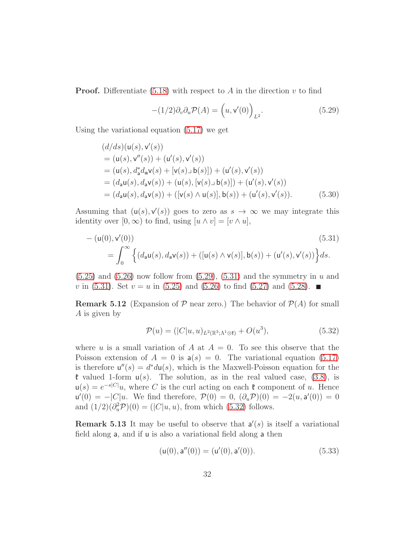**Proof.** Differentiate  $(5.18)$  with respect to A in the direction v to find

<span id="page-31-0"></span>
$$
-(1/2)\partial_v \partial_u \mathcal{P}(A) = \left(u, v'(0)\right)_{L^2}.
$$
\n(5.29)

Using the variational equation [\(5.17\)](#page-28-0) we get

$$
(d/ds)(u(s), v'(s))
$$
  
= (u(s), v''(s)) + (u'(s), v'(s))  
= (u(s), d\_a^\*d\_a v(s) + [v(s) \cup b(s)]) + (u'(s), v'(s))  
= (d\_a u(s), d\_a v(s)) + (u(s), [v(s) \cup b(s)]) + (u'(s), v'(s))  
= (d\_a u(s), d\_a v(s)) + ([v(s) \wedge u(s)], b(s)) + (u'(s), v'(s)). \t(5.30)

Assuming that  $(u(s), v'(s))$  goes to zero as  $s \to \infty$  we may integrate this identity over  $[0, \infty)$  to find, using  $[u \wedge v] = [v \wedge u]$ ,

$$
-(\mathsf{u}(0),\mathsf{v}'(0))\tag{5.31}
$$
  
=  $\int_0^\infty \left\{ (d_\mathsf{a}\mathsf{u}(s), d_\mathsf{a}\mathsf{v}(s)) + ([\mathsf{u}(s) \wedge \mathsf{v}(s)], \mathsf{b}(s)) + (\mathsf{u}'(s), \mathsf{v}'(s)) \right\} ds.$ 

 $(5.25)$  and  $(5.26)$  now follow from  $(5.29)$ ,  $(5.31)$  and the symmetry in u and v in [\(5.31\)](#page-31-1). Set  $v = u$  in [\(5.25\)](#page-30-0) and [\(5.26\)](#page-30-1) to find [\(5.27\)](#page-30-2) and [\(5.28\)](#page-30-3).

**Remark 5.12** (Expansion of  $P$  near zero.) The behavior of  $P(A)$  for small A is given by

<span id="page-31-2"></span><span id="page-31-1"></span>
$$
\mathcal{P}(u) = (|C|u, u)_{L^2(\mathbb{R}^3; \Lambda^1 \otimes \mathfrak{k})} + O(u^3), \tag{5.32}
$$

where u is a small variation of A at  $A = 0$ . To see this observe that the Poisson extension of  $A = 0$  is  $a(s) = 0$ . The variational equation [\(5.17\)](#page-28-0) is therefore  $u''(s) = d^* du(s)$ , which is the Maxwell-Poisson equation for the  $\mathfrak k$  valued 1-form  $u(s)$ . The solution, as in the real valued case, [\(3.8\)](#page-17-2), is  $u(s) = e^{-s|C|}u$ , where C is the curl acting on each  $\mathfrak{k}$  component of u. Hence  $u'(0) = -|C|u$ . We find therefore,  $\mathcal{P}(0) = 0$ ,  $(\partial_u \mathcal{P})(0) = -2(u, a'(0)) = 0$ and  $(1/2)(\partial_u^2 \mathcal{P})(0) = (|C|u, u)$ , from which [\(5.32\)](#page-31-2) follows.

**Remark 5.13** It may be useful to observe that  $a'(s)$  is itself a variational field along a, and if u is also a variational field along a then

<span id="page-31-3"></span>
$$
(\mathsf{u}(0),\mathsf{a}''(0)) = (\mathsf{u}'(0),\mathsf{a}'(0)).\tag{5.33}
$$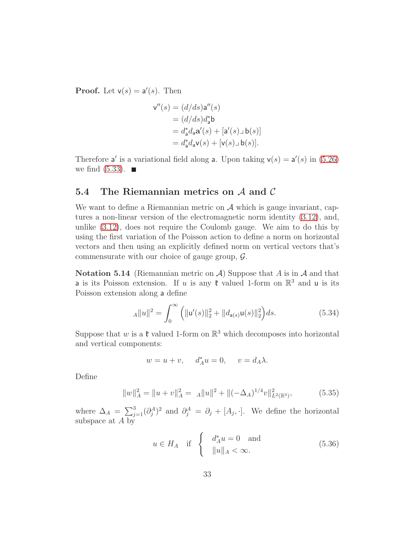**Proof.** Let  $v(s) = a'(s)$ . Then

$$
\mathbf{v}''(s) = (d/ds)\mathbf{a}''(s)
$$
  
=  $(d/ds)d_{\mathbf{a}}^*\mathbf{b}$   
=  $d_{\mathbf{a}}^*d_{\mathbf{a}}\mathbf{a}'(s) + [\mathbf{a}'(s) \bot \mathbf{b}(s)]$   
=  $d_{\mathbf{a}}^*d_{\mathbf{a}}\mathbf{v}(s) + [\mathbf{v}(s) \bot \mathbf{b}(s)].$ 

Therefore a' is a variational field along a. Upon taking  $v(s) = a'(s)$  in [\(5.26\)](#page-30-1) we find  $(5.33)$ .

## <span id="page-32-0"></span>5.4 The Riemannian metrics on  $A$  and  $C$

We want to define a Riemannian metric on  $A$  which is gauge invariant, captures a non-linear version of the electromagnetic norm identity [\(3.12\)](#page-19-2), and, unlike [\(3.12\)](#page-19-2), does not require the Coulomb gauge. We aim to do this by using the first variation of the Poisson action to define a norm on horizontal vectors and then using an explicitly defined norm on vertical vectors that's commensurate with our choice of gauge group,  $\mathcal{G}$ .

Notation 5.14 (Riemannian metric on  $A$ ) Suppose that A is in A and that **a** is its Poisson extension. If u is any  $\mathfrak{k}$  valued 1-form on  $\mathbb{R}^3$  and u is its Poisson extension along a define

$$
_{A}||u||^{2} = \int_{0}^{\infty} (||u'(s)||_{2}^{2} + ||d_{a(s)}u(s)||_{2}^{2}) ds.
$$
 (5.34)

Suppose that w is a  $\mathfrak k$  valued 1-form on  $\mathbb R^3$  which decomposes into horizontal and vertical components:

<span id="page-32-2"></span><span id="page-32-1"></span>
$$
w = u + v, \quad d_A^* u = 0, \quad v = d_A \lambda.
$$

Define

$$
||w||_A^2 = ||u + v||_A^2 = A||u||^2 + ||(-\Delta_A)^{1/4}v||_{L^2(\mathbb{R}^3)}^2,
$$
\n(5.35)

where  $\Delta_A = \sum_{j=1}^3 (\partial_j^A)^2$  and  $\partial_j^A = \partial_j + [A_j, \cdot]$ . We define the horizontal subspace at A by

$$
u \in H_A \quad \text{if} \quad \begin{cases} d_A^* u = 0 \quad \text{and} \\ \|u\|_A < \infty. \end{cases} \tag{5.36}
$$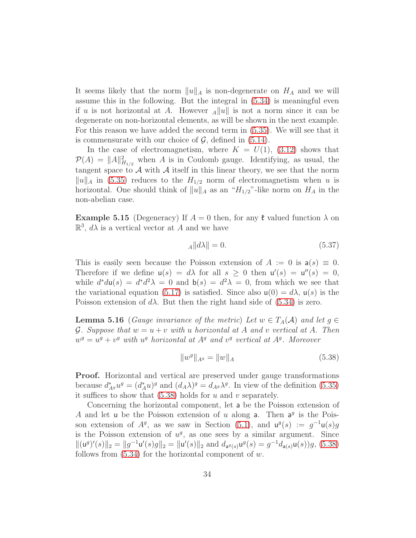It seems likely that the norm  $||u||_A$  is non-degenerate on  $H_A$  and we will assume this in the following. But the integral in [\(5.34\)](#page-32-1) is meaningful even if u is not horizontal at A. However  $_A||u||$  is not a norm since it can be degenerate on non-horizontal elements, as will be shown in the next example. For this reason we have added the second term in [\(5.35\)](#page-32-2). We will see that it is commensurate with our choice of  $\mathcal{G}$ , defined in [\(5.14\)](#page-25-0).

In the case of electromagnetism, where  $K = U(1)$ , [\(3.12\)](#page-19-2) shows that  $\mathcal{P}(A) = ||A||_{H_{1/2}}^2$  when A is in Coulomb gauge. Identifying, as usual, the tangent space to  $A$  with  $A$  itself in this linear theory, we see that the norm  $||u||_A$  in [\(5.35\)](#page-32-2) reduces to the  $H_{1/2}$  norm of electromagnetism when u is horizontal. One should think of  $||u||_A$  as an " $H_{1/2}$ "-like norm on  $H_A$  in the non-abelian case.

**Example 5.15** (Degeneracy) If  $A = 0$  then, for any  $\mathfrak{k}$  valued function  $\lambda$  on  $\mathbb{R}^3$ ,  $d\lambda$  is a vertical vector at A and we have

$$
A||d\lambda|| = 0.\tag{5.37}
$$

This is easily seen because the Poisson extension of  $A := 0$  is  $a(s) \equiv 0$ . Therefore if we define  $u(s) = d\lambda$  for all  $s \geq 0$  then  $u'(s) = u''(s) = 0$ , while  $d^*d\mu(s) = d^*d^2\lambda = 0$  and  $b(s) = d^2\lambda = 0$ , from which we see that the variational equation [\(5.17\)](#page-28-0) is satisfied. Since also  $u(0) = d\lambda$ ,  $u(s)$  is the Poisson extension of  $d\lambda$ . But then the right hand side of [\(5.34\)](#page-32-1) is zero.

**Lemma 5.16** (Gauge invariance of the metric) Let  $w \in T_A(\mathcal{A})$  and let  $g \in$ G. Suppose that  $w = u + v$  with u horizontal at A and v vertical at A. Then  $w^g = u^g + v^g$  with  $u^g$  horizontal at  $A^g$  and  $v^g$  vertical at  $A^g$ . Moreover

<span id="page-33-0"></span>
$$
||w^g||_{A^g} = ||w||_A \tag{5.38}
$$

Proof. Horizontal and vertical are preserved under gauge transformations because  $d^*_{A^g}u^g = (d^*_Au)^g$  and  $(d_A\lambda)^g = d_{A^g}\lambda^g$ . In view of the definition [\(5.35\)](#page-32-2) it suffices to show that  $(5.38)$  holds for u and v separately.

Concerning the horizontal component, let a be the Poisson extension of A and let u be the Poisson extension of u along a. Then  $a^g$  is the Poisson extension of  $A^g$ , as we saw in Section [\(5.1\)](#page-22-1), and  $u^g(s) := g^{-1}u(s)g$ is the Poisson extension of  $u^g$ , as one sees by a similar argument. Since  $||(u^g)'(s)||_2 = ||g^{-1}u'(s)g||_2 = ||u'(s)||_2$  and  $d_{a^g(s)}u^g(s) = g^{-1}d_{a(s)}u(s)g$ , [\(5.38\)](#page-33-0) follows from  $(5.34)$  for the horizontal component of w.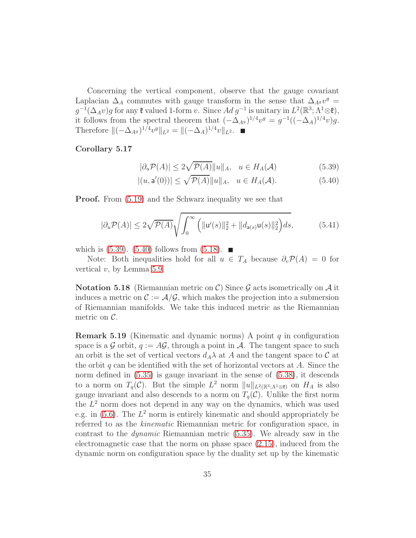Concerning the vertical component, observe that the gauge covariant Laplacian  $\Delta_A$  commutes with gauge transform in the sense that  $\Delta_{A^g} v^g =$  $g^{-1}(\Delta_A v)g$  for any  $\mathfrak k$  valued 1-form v. Since  $Ad g^{-1}$  is unitary in  $L^2(\mathbb{R}^3; \Lambda^1 \otimes \mathfrak k)$ , it follows from the spectral theorem that  $(-\Delta_{A^g})^{1/4}v^g = g^{-1}((-\Delta_A)^{1/4}v)g$ . Therefore  $\|(-\Delta_{A^g})^{1/4}v^g\|_{L^2} = \|(-\Delta_A)^{1/4}v\|_{L^2}$ .

#### Corollary 5.17

<span id="page-34-1"></span><span id="page-34-0"></span>
$$
|\partial_u \mathcal{P}(A)| \le 2\sqrt{\mathcal{P}(A)} \|u\|_A, \quad u \in H_A(\mathcal{A})
$$
\n(5.39)

$$
|(u, \mathsf{a}'(0))| \le \sqrt{\mathcal{P}(A)} \|u\|_{A}, \quad u \in H_A(\mathcal{A}). \tag{5.40}
$$

**Proof.** From  $(5.19)$  and the Schwarz inequality we see that

$$
|\partial_u \mathcal{P}(A)| \le 2\sqrt{\mathcal{P}(A)} \sqrt{\int_0^\infty \left( ||\mathbf{u}'(s)||_2^2 + ||d_{\mathbf{a}(s)}\mathbf{u}(s)||_2^2 \right) ds},\tag{5.41}
$$

which is  $(5.39)$ .  $(5.40)$  follows from  $(5.18)$ .

<span id="page-34-2"></span>Note: Both inequalities hold for all  $u \in T_A$  because  $\partial_v \mathcal{P}(A) = 0$  for vertical  $v$ , by Lemma [5.9.](#page-29-0)

**Notation 5.18** (Riemannian metric on C) Since G acts isometrically on A it induces a metric on  $\mathcal{C} := \mathcal{A}/\mathcal{G}$ , which makes the projection into a submersion of Riemannian manifolds. We take this induced metric as the Riemannian metric on  $\mathcal{C}$ .

**Remark 5.19** (Kinematic and dynamic norms) A point  $q$  in configuration space is a G orbit,  $q := AG$ , through a point in A. The tangent space to such an orbit is the set of vertical vectors  $d_A\lambda$  at A and the tangent space to C at the orbit q can be identified with the set of horizontal vectors at  $A$ . Since the norm defined in  $(5.35)$  is gauge invariant in the sense of  $(5.38)$ , it descends to a norm on  $T_q(\mathcal{C})$ . But the simple  $L^2$  norm  $||u||_{L^2(\mathbb{R}^3; \Lambda^1 \otimes \mathfrak{k})}$  on  $H_A$  is also gauge invariant and also descends to a norm on  $T_q(\mathcal{C})$ . Unlike the first norm the  $L^2$  norm does not depend in any way on the dynamics, which was used e.g. in  $(5.6)$ . The  $L^2$  norm is entirely kinematic and should appropriately be referred to as the kinematic Riemannian metric for configuration space, in contrast to the dynamic Riemannian metric [\(5.35\)](#page-32-2). We already saw in the electromagnetic case that the norm on phase space [\(2.15\)](#page-7-5), induced from the dynamic norm on configuration space by the duality set up by the kinematic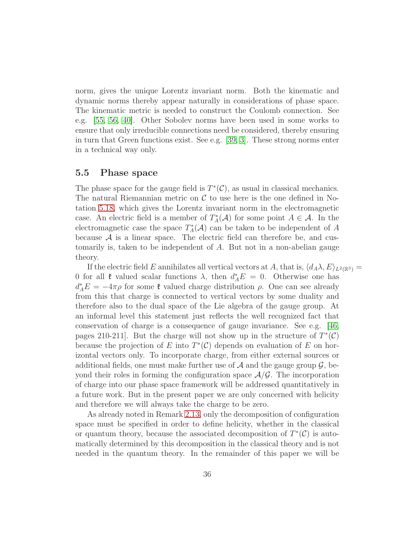norm, gives the unique Lorentz invariant norm. Both the kinematic and dynamic norms thereby appear naturally in considerations of phase space. The kinematic metric is needed to construct the Coulomb connection. See e.g. [\[55,](#page-51-2) [56,](#page-51-1) [40\]](#page-50-3). Other Sobolev norms have been used in some works to ensure that only irreducible connections need be considered, thereby ensuring in turn that Green functions exist. See e.g. [\[39,](#page-50-4) [3\]](#page-46-5). These strong norms enter in a technical way only.

### <span id="page-35-0"></span>5.5 Phase space

The phase space for the gauge field is  $T^*(\mathcal{C})$ , as usual in classical mechanics. The natural Riemannian metric on  $\mathcal C$  to use here is the one defined in Notation [5.18,](#page-34-2) which gives the Lorentz invariant norm in the electromagnetic case. An electric field is a member of  $T^*_A(\mathcal{A})$  for some point  $A \in \mathcal{A}$ . In the electromagnetic case the space  $T_A^*(\mathcal{A})$  can be taken to be independent of A because  $A$  is a linear space. The electric field can therefore be, and customarily is, taken to be independent of A. But not in a non-abelian gauge theory.

If the electric field E annihilates all vertical vectors at A, that is,  $\langle d_A \lambda, E \rangle_{L^2(\mathbb{R}^3)} =$ 0 for all  $\mathfrak k$  valued scalar functions  $\lambda$ , then  $d_A^*E = 0$ . Otherwise one has  $d_A^* E = -4\pi \rho$  for some  $\mathfrak k$  valued charge distribution  $\rho$ . One can see already from this that charge is connected to vertical vectors by some duality and therefore also to the dual space of the Lie algebra of the gauge group. At an informal level this statement just reflects the well recognized fact that conservation of charge is a consequence of gauge invariance. See e.g. [\[46,](#page-50-5) pages 210-211]. But the charge will not show up in the structure of  $T^*(\mathcal{C})$ because the projection of E into  $T^*(\mathcal{C})$  depends on evaluation of E on horizontal vectors only. To incorporate charge, from either external sources or additional fields, one must make further use of  $A$  and the gauge group  $G$ , beyond their roles in forming the configuration space  $\mathcal{A}/\mathcal{G}$ . The incorporation of charge into our phase space framework will be addressed quantitatively in a future work. But in the present paper we are only concerned with helicity and therefore we will always take the charge to be zero.

As already noted in Remark [2.13,](#page-14-5) only the decomposition of configuration space must be specified in order to define helicity, whether in the classical or quantum theory, because the associated decomposition of  $T^*(\mathcal{C})$  is automatically determined by this decomposition in the classical theory and is not needed in the quantum theory. In the remainder of this paper we will be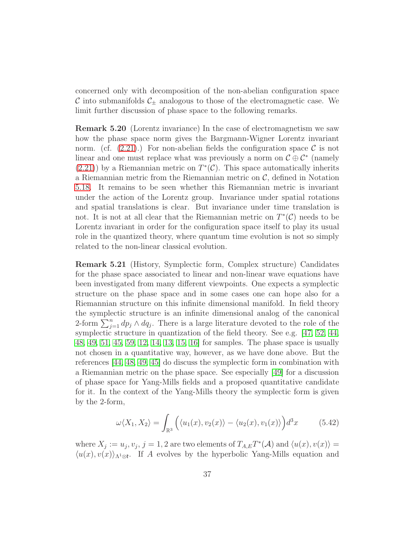<span id="page-36-0"></span>concerned only with decomposition of the non-abelian configuration space C into submanifolds  $C_{\pm}$  analogous to those of the electromagnetic case. We limit further discussion of phase space to the following remarks.

Remark 5.20 (Lorentz invariance) In the case of electromagnetism we saw how the phase space norm gives the Bargmann-Wigner Lorentz invariant norm. (cf.  $(2.21)$ .) For non-abelian fields the configuration space C is not linear and one must replace what was previously a norm on  $\mathcal{C} \oplus \mathcal{C}^*$  (namely  $(2.21)$ ) by a Riemannian metric on  $T^*(\mathcal{C})$ . This space automatically inherits a Riemannian metric from the Riemannian metric on  $\mathcal{C}$ , defined in Notation [5.18.](#page-34-2) It remains to be seen whether this Riemannian metric is invariant under the action of the Lorentz group. Invariance under spatial rotations and spatial translations is clear. But invariance under time translation is not. It is not at all clear that the Riemannian metric on  $T^*(\mathcal{C})$  needs to be Lorentz invariant in order for the configuration space itself to play its usual role in the quantized theory, where quantum time evolution is not so simply related to the non-linear classical evolution.

Remark 5.21 (History, Symplectic form, Complex structure) Candidates for the phase space associated to linear and non-linear wave equations have been investigated from many different viewpoints. One expects a symplectic structure on the phase space and in some cases one can hope also for a Riemannian structure on this infinite dimensional manifold. In field theory the symplectic structure is an infinite dimensional analog of the canonical 2-form  $\sum_{j=1}^{n} dp_j \wedge dq_j$ . There is a large literature devoted to the role of the symplectic structure in quantization of the field theory. See e.g. [\[47,](#page-50-6) [52,](#page-51-3) [44,](#page-50-7) [48,](#page-51-4) [49,](#page-51-5) [51,](#page-51-6) [45,](#page-50-8) [59,](#page-52-1) [12,](#page-47-4) [14,](#page-47-5) [13,](#page-47-6) [15,](#page-47-7) [16\]](#page-48-10) for samples. The phase space is usually not chosen in a quantitative way, however, as we have done above. But the references [\[44,](#page-50-7) [48,](#page-51-4) [49,](#page-51-5) [45\]](#page-50-8) do discuss the symplectic form in combination with a Riemannian metric on the phase space. See especially [\[49\]](#page-51-5) for a discussion of phase space for Yang-Mills fields and a proposed quantitative candidate for it. In the context of the Yang-Mills theory the symplectic form is given by the 2-form,

$$
\omega \langle X_1, X_2 \rangle = \int_{\mathbb{R}^3} \left( \langle u_1(x), v_2(x) \rangle - \langle u_2(x), v_1(x) \rangle \right) d^3x \tag{5.42}
$$

where  $X_j := u_j, v_j, j = 1, 2$  are two elements of  $T_{A,E}T^*(\mathcal{A})$  and  $\langle u(x), v(x) \rangle =$  $\langle u(x), v(x)\rangle_{\Lambda^1\otimes \mathfrak{k}}$ . If A evolves by the hyperbolic Yang-Mills equation and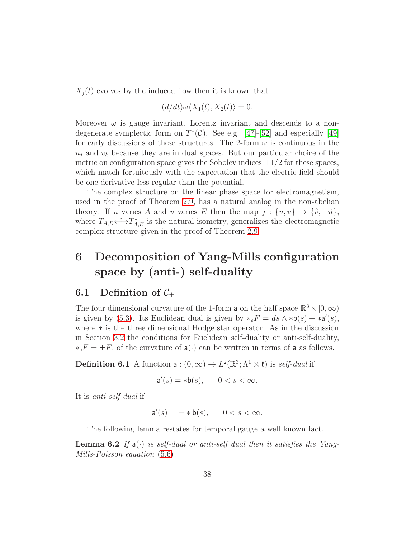$X_i(t)$  evolves by the induced flow then it is known that

$$
(d/dt)\omega\langle X_1(t), X_2(t)\rangle = 0.
$$

Moreover  $\omega$  is gauge invariant, Lorentz invariant and descends to a nondegenerate symplectic form on  $T^*(\mathcal{C})$ . See e.g. [\[47\]](#page-50-6)-[\[52\]](#page-51-3) and especially [\[49\]](#page-51-5) for early discussions of these structures. The 2-form  $\omega$  is continuous in the  $u_i$  and  $v_k$  because they are in dual spaces. But our particular choice of the metric on configuration space gives the Sobolev indices  $\pm 1/2$  for these spaces, which match fortuitously with the expectation that the electric field should be one derivative less regular than the potential.

The complex structure on the linear phase space for electromagnetism, used in the proof of Theorem [2.9,](#page-10-2) has a natural analog in the non-abelian theory. If u varies A and v varies E then the map  $j : \{u, v\} \mapsto {\hat{v}, -\hat{u}}$ , where  $T_{A,E} \leftrightarrow T_{A,E}^*$  is the natural isometry, generalizes the electromagnetic complex structure given in the proof of Theorem [2.9.](#page-10-2)

# <span id="page-37-0"></span>6 Decomposition of Yang-Mills configuration space by (anti-) self-duality

### <span id="page-37-1"></span>6.1 Definition of  $\mathcal{C}_\pm$

The four dimensional curvature of the 1-form a on the half space  $\mathbb{R}^3 \times [0, \infty)$ is given by [\(5.3\)](#page-22-3). Its Euclidean dual is given by  $*_e F = ds \wedge *b(s) + *a'(s)$ , where ∗ is the three dimensional Hodge star operator. As in the discussion in Section [3.2](#page-19-0) the conditions for Euclidean self-duality or anti-self-duality,  $*_eF = \pm F$ , of the curvature of  $a(\cdot)$  can be written in terms of a as follows.

**Definition 6.1** A function  $\mathsf{a}: (0, \infty) \to L^2(\mathbb{R}^3; \Lambda^1 \otimes \mathfrak{k})$  is self-dual if

$$
\mathsf{a}'(s) = * \mathsf{b}(s), \qquad 0 < s < \infty.
$$

It is anti-self-dual if

$$
\mathsf{a}'(s) = - * \mathsf{b}(s), \qquad 0 < s < \infty.
$$

The following lemma restates for temporal gauge a well known fact.

**Lemma 6.2** If  $a(\cdot)$  is self-dual or anti-self dual then it satisfies the Yang-Mills-Poisson equation [\(5.6\)](#page-22-4).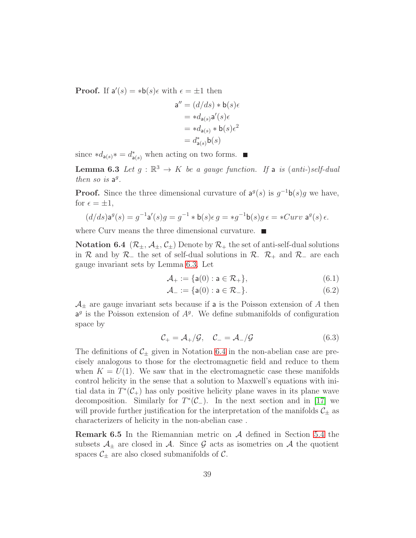**Proof.** If  $a'(s) = *b(s)\epsilon$  with  $\epsilon = \pm 1$  then

$$
\begin{aligned} \mathsf{a}'' &= (d/ds) * \mathsf{b}(s)\epsilon \\ &= *d_{\mathsf{a}(s)}\mathsf{a}'(s)\epsilon \\ &= *d_{\mathsf{a}(s)} * \mathsf{b}(s)\epsilon^2 \\ &= d_{\mathsf{a}(s)}^*\mathsf{b}(s) \end{aligned}
$$

<span id="page-38-0"></span>since  $*d_{\mathsf{a}(s)} * = d^*_{\mathsf{a}(s)}$  when acting on two forms.

**Lemma 6.3** Let  $g : \mathbb{R}^3 \to K$  be a gauge function. If a is  $(anti-)self-dual$ then so is  $a^g$ .

**Proof.** Since the three dimensional curvature of  $a^g(s)$  is  $g^{-1}b(s)g$  we have, for  $\epsilon = \pm 1$ ,

$$
(d/ds)\mathbf{a}^g(s) = g^{-1}\mathbf{a}'(s)g = g^{-1} * \mathbf{b}(s)\epsilon g = *g^{-1}\mathbf{b}(s)g\epsilon = *Curv\,\,\mathbf{a}^g(s)\,\epsilon.
$$

<span id="page-38-1"></span>where Curv means the three dimensional curvature.

**Notation 6.4**  $(\mathcal{R}_{\pm}, \mathcal{A}_{\pm}, \mathcal{C}_{\pm})$  Denote by  $\mathcal{R}_{+}$  the set of anti-self-dual solutions in R and by R<sub>−</sub> the set of self-dual solutions in R.  $\mathcal{R}_+$  and R<sub>−</sub> are each gauge invariant sets by Lemma [6.3.](#page-38-0) Let

$$
\mathcal{A}_+ := \{ \mathsf{a}(0) : \mathsf{a} \in \mathcal{R}_+ \},\tag{6.1}
$$

$$
\mathcal{A}_{-} := \{ \mathsf{a}(0) : \mathsf{a} \in \mathcal{R}_{-} \}. \tag{6.2}
$$

 $\mathcal{A}_{\pm}$  are gauge invariant sets because if a is the Poisson extension of A then  $a<sup>g</sup>$  is the Poisson extension of  $A<sup>g</sup>$ . We define submanifolds of configuration space by

$$
\mathcal{C}_{+} = \mathcal{A}_{+} / \mathcal{G}, \quad \mathcal{C}_{-} = \mathcal{A}_{-} / \mathcal{G}
$$
\n
$$
(6.3)
$$

The definitions of  $\mathcal{C}_\pm$  given in Notation [6.4](#page-38-1) in the non-abelian case are precisely analogous to those for the electromagnetic field and reduce to them when  $K = U(1)$ . We saw that in the electromagnetic case these manifolds control helicity in the sense that a solution to Maxwell's equations with initial data in  $T^*(\mathcal{C}_+)$  has only positive helicity plane waves in its plane wave decomposition. Similarly for  $T^*(\mathcal{C}_-)$ . In the next section and in [\[17\]](#page-48-0) we will provide further justification for the interpretation of the manifolds  $\mathcal{C}_\pm$  as characterizers of helicity in the non-abelian case .

**Remark 6.5** In the Riemannian metric on  $\mathcal A$  defined in Section [5.4](#page-32-0) the subsets  $\mathcal{A}_{\pm}$  are closed in  $\mathcal{A}$ . Since  $\mathcal G$  acts as isometries on  $\mathcal A$  the quotient spaces  $\mathcal{C}_{\pm}$  are also closed submanifolds of  $\mathcal{C}$ .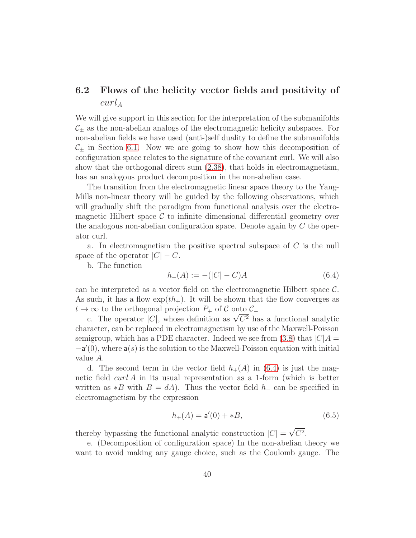## <span id="page-39-0"></span>6.2 Flows of the helicity vector fields and positivity of  $curl_A$

We will give support in this section for the interpretation of the submanifolds  $\mathcal{C}_{\pm}$  as the non-abelian analogs of the electromagnetic helicity subspaces. For non-abelian fields we have used (anti-)self duality to define the submanifolds  $C_{+}$  in Section [6.1.](#page-37-1) Now we are going to show how this decomposition of configuration space relates to the signature of the covariant curl. We will also show that the orthogonal direct sum [\(2.38\)](#page-13-4), that holds in electromagnetism, has an analogous product decomposition in the non-abelian case.

The transition from the electromagnetic linear space theory to the Yang-Mills non-linear theory will be guided by the following observations, which will gradually shift the paradigm from functional analysis over the electromagnetic Hilbert space  $\mathcal C$  to infinite dimensional differential geometry over the analogous non-abelian configuration space. Denote again by  $C$  the operator curl.

a. In electromagnetism the positive spectral subspace of C is the null space of the operator  $|C| - C$ .

b. The function

<span id="page-39-1"></span>
$$
h_{+}(A) := -(|C| - C)A \tag{6.4}
$$

can be interpreted as a vector field on the electromagnetic Hilbert space C. As such, it has a flow  $\exp(th_+)$ . It will be shown that the flow converges as  $t \to \infty$  to the orthogonal projection  $P_+$  of C onto  $C_+$ 

c. The operator |C|, whose definition as  $\sqrt{C^2}$  has a functional analytic character, can be replaced in electromagnetism by use of the Maxwell-Poisson semigroup, which has a PDE character. Indeed we see from [\(3.8\)](#page-17-2) that  $|C|A =$  $-a'(0)$ , where  $a(s)$  is the solution to the Maxwell-Poisson equation with initial value A.

d. The second term in the vector field  $h_{+}(A)$  in [\(6.4\)](#page-39-1) is just the magnetic field  $curl A$  in its usual representation as a 1-form (which is better written as  $*B$  with  $B = dA$ ). Thus the vector field  $h_+$  can be specified in electromagnetism by the expression

<span id="page-39-2"></span>
$$
h_{+}(A) = \mathsf{a}'(0) + *B,\tag{6.5}
$$

thereby bypassing the functional analytic construction  $|C| = \sqrt{C^2}$ .

e. (Decomposition of configuration space) In the non-abelian theory we want to avoid making any gauge choice, such as the Coulomb gauge. The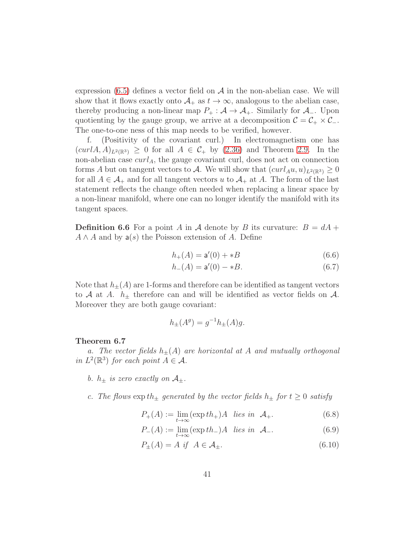expression  $(6.5)$  defines a vector field on  $\mathcal A$  in the non-abelian case. We will show that it flows exactly onto  $A_+$  as  $t \to \infty$ , analogous to the abelian case, thereby producing a non-linear map  $P_+ : A \to A_+$ . Similarly for  $A_-$ . Upon quotienting by the gauge group, we arrive at a decomposition  $C = C_+ \times C_-$ . The one-to-one ness of this map needs to be verified, however.

f. (Positivity of the covariant curl.) In electromagnetism one has  $(curlA, A)_{L^2(\mathbb{R}^3)} \geq 0$  for all  $A \in \mathcal{C}_+$  by  $(2.36)$  and Theorem [2.9.](#page-10-2) In the non-abelian case  $curl_A$ , the gauge covariant curl, does not act on connection forms A but on tangent vectors to A. We will show that  $(curl_Au, u)_{L^2(\mathbb{R}^3)} \geq 0$ for all  $A \in \mathcal{A}_+$  and for all tangent vectors u to  $\mathcal{A}_+$  at A. The form of the last statement reflects the change often needed when replacing a linear space by a non-linear manifold, where one can no longer identify the manifold with its tangent spaces.

**Definition 6.6** For a point A in A denote by B its curvature:  $B = dA +$  $A \wedge A$  and by  $a(s)$  the Poisson extension of A. Define

<span id="page-40-2"></span>
$$
h_{+}(A) = \mathsf{a}'(0) + *B \tag{6.6}
$$

$$
h_{-}(A) = \mathbf{a}'(0) - *B. \tag{6.7}
$$

Note that  $h_{\pm}(A)$  are 1-forms and therefore can be identified as tangent vectors to A at A.  $h_{\pm}$  therefore can and will be identified as vector fields on A. Moreover they are both gauge covariant:

<span id="page-40-1"></span>
$$
h_{\pm}(A^{g}) = g^{-1}h_{\pm}(A)g.
$$

#### <span id="page-40-0"></span>Theorem 6.7

a. The vector fields  $h_{\pm}(A)$  are horizontal at A and mutually orthogonal in  $L^2(\mathbb{R}^3)$  for each point  $A \in \mathcal{A}$ .

- b.  $h_{\pm}$  is zero exactly on  $\mathcal{A}_{\pm}$ .
- c. The flows  $\exp th_{\pm}$  generated by the vector fields  $h_{\pm}$  for  $t \geq 0$  satisfy

$$
P_{+}(A) := \lim_{t \to \infty} (\exp th_{+})A \quad \text{lies in} \quad \mathcal{A}_{+}.
$$
 (6.8)

$$
P_{-}(A) := \lim_{t \to \infty} (\exp th_{-})A \quad lies \quad in \quad \mathcal{A}_{-}.
$$
 (6.9)

$$
P_{\pm}(A) = A \text{ if } A \in \mathcal{A}_{\pm}.\tag{6.10}
$$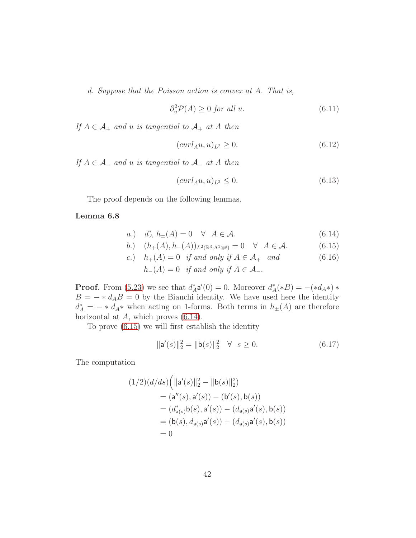d. Suppose that the Poisson action is convex at A. That is,

$$
\partial_u^2 \mathcal{P}(A) \ge 0 \text{ for all } u. \tag{6.11}
$$

If  $A \in \mathcal{A}_+$  and u is tangential to  $\mathcal{A}_+$  at A then

<span id="page-41-5"></span>
$$
(curl_A u, u)_{L^2} \ge 0. \tag{6.12}
$$

If  $A \in \mathcal{A}_-$  and u is tangential to  $\mathcal{A}_-$  at A then

<span id="page-41-6"></span><span id="page-41-4"></span><span id="page-41-3"></span><span id="page-41-1"></span><span id="page-41-0"></span>
$$
(curl_A u, u)_{L^2} \le 0. \tag{6.13}
$$

The proof depends on the following lemmas.

#### Lemma 6.8

$$
a.) \quad d_A^* \ h_{\pm}(A) = 0 \quad \forall \ A \in \mathcal{A}.
$$

$$
b.) \quad (h_{+}(A), h_{-}(A))_{L^{2}(\mathbb{R}^{3}; \Lambda^{1} \otimes \mathfrak{k})} = 0 \quad \forall \quad A \in \mathcal{A}.
$$
 (6.15)

c.) 
$$
h_+(A) = 0
$$
 if and only if  $A \in \mathcal{A}_+$  and  
\n $h_-(A) = 0$  if and only if  $A \in \mathcal{A}_-$ .  
\n(6.16)

**Proof.** From [\(5.23\)](#page-29-1) we see that  $d_A^* \mathbf{a}'(0) = 0$ . Moreover  $d_A^* (*B) = -(*d_A*)$  $B = - * d_A B = 0$  by the Bianchi identity. We have used here the identity  $d_A^* = - * d_A *$  when acting on 1-forms. Both terms in  $h_{\pm}(A)$  are therefore horizontal at  $A$ , which proves  $(6.14)$ .

To prove [\(6.15\)](#page-41-1) we will first establish the identity

<span id="page-41-2"></span>
$$
\|\mathbf{a}'(s)\|_2^2 = \|\mathbf{b}(s)\|_2^2 \quad \forall \quad s \ge 0. \tag{6.17}
$$

The computation

$$
(1/2)(d/ds) (||a'(s)||_2^2 - ||b(s)||_2^2)
$$
  
=  $(a''(s), a'(s)) - (b'(s), b(s))$   
=  $(d_{a(s)}^*b(s), a'(s)) - (d_{a(s)}a'(s), b(s))$   
=  $(b(s), d_{a(s)}a'(s)) - (d_{a(s)}a'(s), b(s))$   
= 0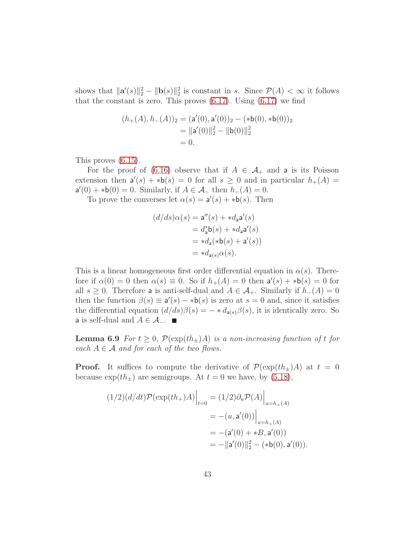shows that  $\|\mathbf{a}'(s)\|_2^2 - \|\mathbf{b}(s)\|_2^2$  is constant in s. Since  $\mathcal{P}(A) < \infty$  it follows that the constant is zero. This proves  $(6.17)$ . Using  $(6.17)$  we find

$$
(h_{+}(A), h_{-}(A))_{2} = (\mathbf{a}'(0), \mathbf{a}'(0))_{2} - (*\mathbf{b}(0), *b(0))_{2}
$$
  
=  $||\mathbf{a}'(0)||_{2}^{2} - ||\mathbf{b}(0)||_{2}^{2}$   
= 0.

This proves [\(6.15\)](#page-41-1).

For the proof of [\(6.16\)](#page-41-3) observe that if  $A \in \mathcal{A}_+$  and a is its Poisson extension then  $a'(s) + *b(s) = 0$  for all  $s \ge 0$  and in particular  $h_+(A) =$  $\mathsf{a}'(0) + \ast \mathsf{b}(0) = 0$ . Similarly, if  $A \in \mathcal{A}_-$  then  $h_-(A) = 0$ .

To prove the converses let  $\alpha(s) = \mathsf{a}'(s) + \ast \mathsf{b}(s)$ . Then

$$
(d/ds)\alpha(s) = \mathbf{a}''(s) + *d_{\mathbf{a}}\mathbf{a}'(s)
$$

$$
= d_{\mathbf{a}}^*\mathbf{b}(s) + *d_{\mathbf{a}}\mathbf{a}'(s)
$$

$$
= *d_{\mathbf{a}}(*\mathbf{b}(s) + \mathbf{a}'(s))
$$

$$
= *d_{\mathbf{a}(s)}\alpha(s).
$$

This is a linear homogeneous first order differential equation in  $\alpha(s)$ . Therefore if  $\alpha(0) = 0$  then  $\alpha(s) \equiv 0$ . So if  $h_+(A) = 0$  then  $a'(s) + *b(s) = 0$  for all  $s \geq 0$ . Therefore a is anti-self-dual and  $A \in \mathcal{A}_{+}$ . Similarly if  $h_{-}(A) = 0$ then the function  $\beta(s) \equiv a'(s) - *b(s)$  is zero at  $s = 0$  and, since it satisfies the differential equation  $(d/ds)\beta(s) = - * d_{a(s)}\beta(s)$ , it is identically zero. So **a** is self-dual and  $A \in \mathcal{A}_-$ .  $\blacksquare$ 

<span id="page-42-0"></span>**Lemma 6.9** For  $t \geq 0$ ,  $\mathcal{P}(\exp(th_{\pm})A)$  is a non-increasing function of t for each  $A \in \mathcal{A}$  and for each of the two flows.

**Proof.** It suffices to compute the derivative of  $\mathcal{P}(\exp(th_{\pm})A)$  at  $t=0$ because  $\exp(th_{\pm})$  are semigroups. At  $t = 0$  we have, by [\(5.18\)](#page-28-1),

$$
(1/2)(d/dt)\mathcal{P}(\exp(th_{+})A)\Big|_{t=0} = (1/2)\partial_{u}\mathcal{P}(A)\Big|_{u=h_{+}(A)}
$$
  
=  $-(u, \mathbf{a}'(0))\Big|_{u=h_{+}(A)}$   
=  $-(\mathbf{a}'(0) + *B, \mathbf{a}'(0))$   
=  $-||\mathbf{a}'(0)||_{2}^{2} - (*\mathbf{b}(0), \mathbf{a}'(0)).$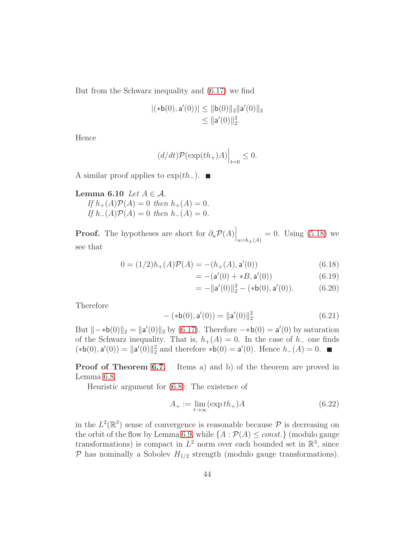But from the Schwarz inequality and [\(6.17\)](#page-41-2) we find

$$
|(*b(0),\mathsf{a}'(0))| \le ||\mathsf{b}(0)||_2 ||\mathsf{a}'(0)||_2
$$
  

$$
\le ||\mathsf{a}'(0)||_2^2.
$$

Hence

$$
(d/dt)\mathcal{P}(\exp(th_+)A)\Big|_{t=0}\leq 0.
$$

<span id="page-43-0"></span>A similar proof applies to  $\exp(th_-)$ . ■

Lemma 6.10 Let  $A \in \mathcal{A}$ . If  $h_{+}(A)\mathcal{P}(A) = 0$  then  $h_{+}(A) = 0$ . If  $h_-(A)\mathcal{P}(A) = 0$  then  $h_-(A) = 0$ .

**Proof.** The hypotheses are short for  $\partial_u \mathcal{P}(A) \Big|_{u=h_{\pm}(A)} = 0$ . Using [\(5.18\)](#page-28-1) we see that

$$
0 = (1/2)h_{+}(A)\mathcal{P}(A) = -(h_{+}(A), \mathbf{a}'(0))
$$
\n(6.18)

$$
= -(a'(0) + *B, a'(0))
$$
 (6.19)

$$
= -\|\mathbf{a}'(0)\|_2^2 - (*\mathbf{b}(0), \mathbf{a}'(0)). \tag{6.20}
$$

Therefore

$$
-(\ast \mathsf{b}(0), \mathsf{a}'(0)) = \|\mathsf{a}'(0)\|_2^2 \tag{6.21}
$$

But  $\|\cdot\|$  + b(0) $\|_2 = \|a'(0)\|_2$  by [\(6.17\)](#page-41-2). Therefore  $-*b(0) = a'(0)$  by saturation of the Schwarz inequality. That is,  $h_{+}(A) = 0$ . In the case of  $h_{-}$  one finds  $(*b(0), a'(0)) = ||a'(0)||_2^2$  and therefore  $*b(0) = a'(0)$ . Hence  $h_-(A) = 0$ .

Proof of Theorem [6.7.](#page-40-0) Items a) and b) of the theorem are proved in Lemma [6.8.](#page-41-4)

Heuristic argument for [\(6.8\)](#page-40-1): The existence of

$$
A_{+} := \lim_{t \to \infty} (\exp th_{+})A \tag{6.22}
$$

in the  $L^2(\mathbb{R}^3)$  sense of convergence is reasonable because  $\mathcal P$  is decreasing on the orbit of the flow by Lemma [6.9,](#page-42-0) while  $\{A : \mathcal{P}(A) \leq const.\}$  (modulo gauge transformations) is compact in  $L^2$  norm over each bounded set in  $\mathbb{R}^3$ , since  $P$  has nominally a Sobolev  $H_{1/2}$  strength (modulo gauge transformations).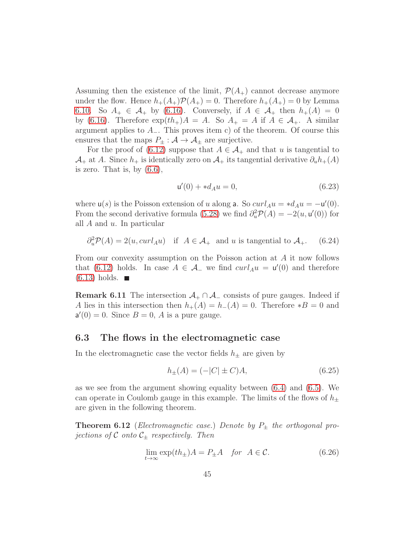Assuming then the existence of the limit,  $\mathcal{P}(A_+)$  cannot decrease anymore under the flow. Hence  $h_+(A_+) \mathcal{P}(A_+) = 0$ . Therefore  $h_+(A_+) = 0$  by Lemma [6.10.](#page-43-0) So  $A_+ \in \mathcal{A}_+$  by [\(6.16\)](#page-41-3). Conversely, if  $A \in \mathcal{A}_+$  then  $h_+(A) = 0$ by [\(6.16\)](#page-41-3). Therefore  $\exp(th_+)A = A$ . So  $A_+ = A$  if  $A \in \mathcal{A}_+$ . A similar argument applies to  $A_-\$ . This proves item c) of the theorem. Of course this ensures that the maps  $P_{\pm} : A \to A_{\pm}$  are surjective.

For the proof of [\(6.12\)](#page-41-5) suppose that  $A \in \mathcal{A}_+$  and that u is tangential to  $\mathcal{A}_+$  at A. Since  $h_+$  is identically zero on  $\mathcal{A}_+$  its tangential derivative  $\partial_u h_+(A)$ is zero. That is, by  $(6.6)$ ,

$$
\mathsf{u}'(0) + *d_A u = 0,\tag{6.23}
$$

where  $u(s)$  is the Poisson extension of u along a. So  $curl_A u = *d_A u = -u'(0)$ . From the second derivative formula [\(5.28\)](#page-30-3) we find  $\partial_u^2 \mathcal{P}(A) = -2(u, u'(0))$  for all  $A$  and  $u$ . In particular

$$
\partial_u^2 \mathcal{P}(A) = 2(u, \operatorname{curl}_A u) \quad \text{if } A \in \mathcal{A}_+ \text{ and } u \text{ is tangential to } \mathcal{A}_+. \tag{6.24}
$$

From our convexity assumption on the Poisson action at A it now follows that [\(6.12\)](#page-41-5) holds. In case  $A \in \mathcal{A}_-$  we find  $curl_A u = u'(0)$  and therefore  $(6.13)$  holds.  $\blacksquare$ 

**Remark 6.11** The intersection  $\mathcal{A}_+ \cap \mathcal{A}_-$  consists of pure gauges. Indeed if A lies in this intersection then  $h_{+}(A) = h_{-}(A) = 0$ . Therefore  $*B = 0$  and  $a'(0) = 0$ . Since  $B = 0$ , A is a pure gauge.

#### <span id="page-44-0"></span>6.3 The flows in the electromagnetic case

In the electromagnetic case the vector fields  $h_{\pm}$  are given by

<span id="page-44-1"></span>
$$
h_{\pm}(A) = (-|C| \pm C)A, \tag{6.25}
$$

as we see from the argument showing equality between [\(6.4\)](#page-39-1) and [\(6.5\)](#page-39-2). We can operate in Coulomb gauge in this example. The limits of the flows of  $h_{\pm}$ are given in the following theorem.

**Theorem 6.12** (Electromagnetic case.) Denote by  $P_{\pm}$  the orthogonal projections of C onto  $\mathcal{C}_\pm$  respectively. Then

$$
\lim_{t \to \infty} \exp(th_{\pm})A = P_{\pm}A \quad \text{for} \ \ A \in \mathcal{C}.
$$
 (6.26)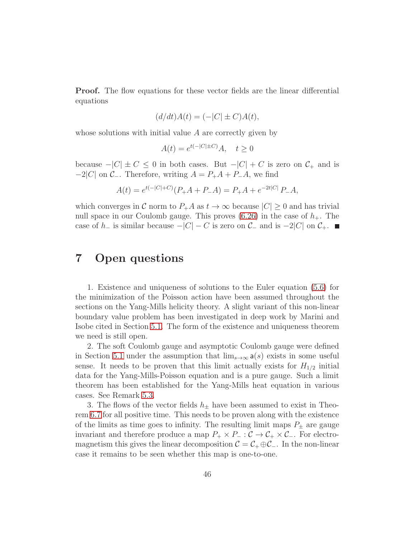**Proof.** The flow equations for these vector fields are the linear differential equations

$$
(d/dt)A(t) = (-|C| \pm C)A(t),
$$

whose solutions with initial value A are correctly given by

$$
A(t) = e^{t(-|C| \pm C)} A, \quad t \ge 0
$$

because  $-|C| \pm C \leq 0$  in both cases. But  $-|C| + C$  is zero on  $C_+$  and is  $-2|C|$  on  $\mathcal{C}_-$ . Therefore, writing  $A = P_+A + P_-A$ , we find

$$
A(t) = e^{t(-|C|+C)}(P_+A + P_-A) = P_+A + e^{-2t|C|}P_-A,
$$

which converges in C norm to  $P_{+}A$  as  $t \to \infty$  because  $|C| \geq 0$  and has trivial null space in our Coulomb gauge. This proves  $(6.26)$  in the case of  $h_{+}$ . The case of  $h_-\$  is similar because  $-|C|-C$  is zero on  $\mathcal{C}_-\$  and is  $-2|C|$  on  $\mathcal{C}_+\$ . ■

## <span id="page-45-0"></span>7 Open questions

1. Existence and uniqueness of solutions to the Euler equation [\(5.6\)](#page-22-4) for the minimization of the Poisson action have been assumed throughout the sections on the Yang-Mills helicity theory. A slight variant of this non-linear boundary value problem has been investigated in deep work by Marini and Isobe cited in Section [5.1.](#page-22-1) The form of the existence and uniqueness theorem we need is still open.

2. The soft Coulomb gauge and asymptotic Coulomb gauge were defined in Section [5.1](#page-22-1) under the assumption that  $\lim_{s\to\infty} a(s)$  exists in some useful sense. It needs to be proven that this limit actually exists for  $H_{1/2}$  initial data for the Yang-Mills-Poisson equation and is a pure gauge. Such a limit theorem has been established for the Yang-Mills heat equation in various cases. See Remark [5.3.](#page-26-2)

3. The flows of the vector fields  $h_{\pm}$  have been assumed to exist in Theorem [6.7](#page-40-0) for all positive time. This needs to be proven along with the existence of the limits as time goes to infinity. The resulting limit maps  $P_{\pm}$  are gauge invariant and therefore produce a map  $P_+ \times P_- : \mathcal{C} \to \mathcal{C}_+ \times \mathcal{C}_-$ . For electromagnetism this gives the linear decomposition  $\mathcal{C} = \mathcal{C}_+ \oplus \mathcal{C}_-$ . In the non-linear case it remains to be seen whether this map is one-to-one.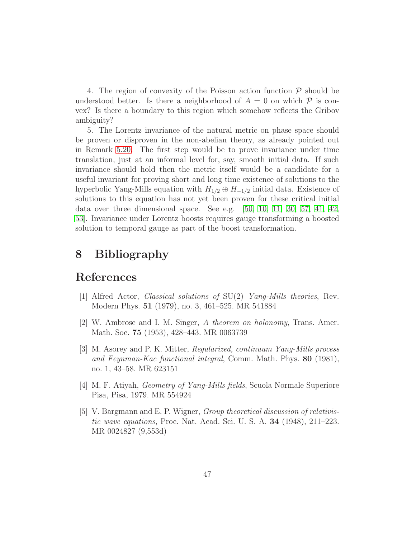4. The region of convexity of the Poisson action function  $\mathcal P$  should be understood better. Is there a neighborhood of  $A = 0$  on which  $\mathcal P$  is convex? Is there a boundary to this region which somehow reflects the Gribov ambiguity?

5. The Lorentz invariance of the natural metric on phase space should be proven or disproven in the non-abelian theory, as already pointed out in Remark [5.20.](#page-36-0) The first step would be to prove invariance under time translation, just at an informal level for, say, smooth initial data. If such invariance should hold then the metric itself would be a candidate for a useful invariant for proving short and long time existence of solutions to the hyperbolic Yang-Mills equation with  $H_{1/2} \oplus H_{-1/2}$  initial data. Existence of solutions to this equation has not yet been proven for these critical initial data over three dimensional space. See e.g. [\[50,](#page-51-7) [10,](#page-47-8) [11,](#page-47-9) [30,](#page-49-9) [57,](#page-51-8) [41,](#page-50-9) [42,](#page-50-10) [53\]](#page-51-9). Invariance under Lorentz boosts requires gauge transforming a boosted solution to temporal gauge as part of the boost transformation.

## <span id="page-46-0"></span>8 Bibliography

## <span id="page-46-1"></span>References

- <span id="page-46-4"></span>[1] Alfred Actor, Classical solutions of SU(2) Yang-Mills theories, Rev. Modern Phys. 51 (1979), no. 3, 461–525. MR 541884
- <span id="page-46-5"></span>[2] W. Ambrose and I. M. Singer, A theorem on holonomy, Trans. Amer. Math. Soc. 75 (1953), 428–443. MR 0063739
- [3] M. Asorey and P. K. Mitter, Regularized, continuum Yang-Mills process and Feynman-Kac functional integral, Comm. Math. Phys. 80 (1981), no. 1, 43–58. MR 623151
- <span id="page-46-3"></span><span id="page-46-2"></span>[4] M. F. Atiyah, Geometry of Yang-Mills fields, Scuola Normale Superiore Pisa, Pisa, 1979. MR 554924
- [5] V. Bargmann and E. P. Wigner, Group theoretical discussion of relativistic wave equations, Proc. Nat. Acad. Sci. U. S. A. 34 (1948), 211–223. MR 0024827 (9,553d)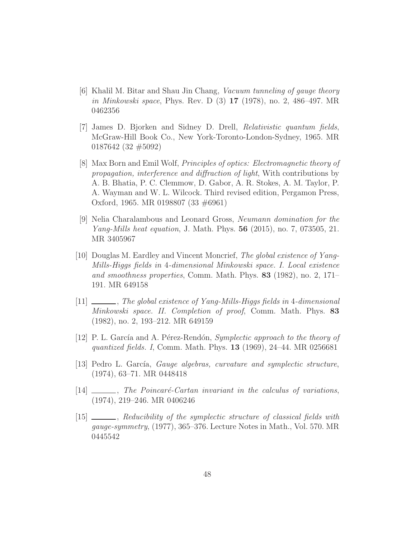- <span id="page-47-3"></span>[6] Khalil M. Bitar and Shau Jin Chang, Vacuum tunneling of gauge theory in Minkowski space, Phys. Rev. D (3) 17 (1978), no. 2, 486–497. MR 0462356
- <span id="page-47-0"></span>[7] James D. Bjorken and Sidney D. Drell, Relativistic quantum fields, McGraw-Hill Book Co., New York-Toronto-London-Sydney, 1965. MR 0187642 (32 #5092)
- <span id="page-47-1"></span>[8] Max Born and Emil Wolf, Principles of optics: Electromagnetic theory of propagation, interference and diffraction of light, With contributions by A. B. Bhatia, P. C. Clemmow, D. Gabor, A. R. Stokes, A. M. Taylor, P. A. Wayman and W. L. Wilcock. Third revised edition, Pergamon Press, Oxford, 1965. MR 0198807 (33 #6961)
- <span id="page-47-2"></span>[9] Nelia Charalambous and Leonard Gross, Neumann domination for the Yang-Mills heat equation, J. Math. Phys. 56 (2015), no. 7, 073505, 21. MR 3405967
- <span id="page-47-8"></span>[10] Douglas M. Eardley and Vincent Moncrief, The global existence of Yang-Mills-Higgs fields in 4-dimensional Minkowski space. I. Local existence and smoothness properties, Comm. Math. Phys. 83 (1982), no. 2, 171– 191. MR 649158
- <span id="page-47-9"></span>[11] , The global existence of Yang-Mills-Higgs fields in 4-dimensional Minkowski space. II. Completion of proof, Comm. Math. Phys. 83 (1982), no. 2, 193–212. MR 649159
- <span id="page-47-4"></span>[12] P. L. García and A. Pérez-Rendón, *Symplectic approach to the theory of* quantized fields. I, Comm. Math. Phys. 13 (1969), 24–44. MR 0256681
- <span id="page-47-6"></span>[13] Pedro L. García, *Gauge algebras, curvature and symplectic structure*, (1974), 63–71. MR 0448418
- <span id="page-47-7"></span><span id="page-47-5"></span> $[14]$   $\_\_\_\_\_\$ nfilterianarriant in the calculus of variations, (1974), 219–246. MR 0406246
- [15] \_\_\_\_\_, Reducibility of the symplectic structure of classical fields with gauge-symmetry, (1977), 365–376. Lecture Notes in Math., Vol. 570. MR 0445542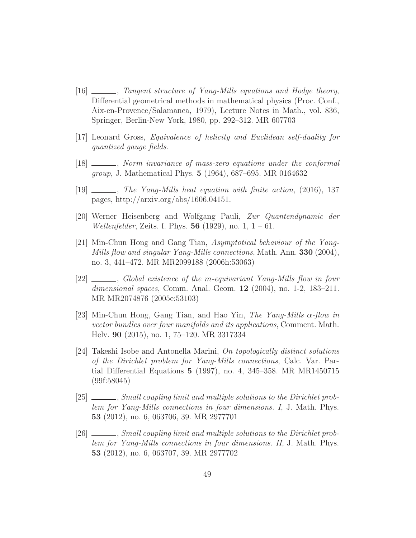- <span id="page-48-10"></span>[16] , Tangent structure of Yang-Mills equations and Hodge theory, Differential geometrical methods in mathematical physics (Proc. Conf., Aix-en-Provence/Salamanca, 1979), Lecture Notes in Math., vol. 836, Springer, Berlin-New York, 1980, pp. 292–312. MR 607703
- <span id="page-48-1"></span><span id="page-48-0"></span>[17] Leonard Gross, Equivalence of helicity and Euclidean self-duality for quantized gauge fields.
- <span id="page-48-6"></span>[18]  $\frac{1}{s}$ , Norm invariance of mass-zero equations under the conformal group, J. Mathematical Phys. 5 (1964), 687–695. MR 0164632
- <span id="page-48-2"></span>[19] , The Yang-Mills heat equation with finite action, (2016), 137 pages, http://arxiv.org/abs/1606.04151.
- [20] Werner Heisenberg and Wolfgang Pauli, Zur Quantendynamic der *Wellenfelder*, Zeits. f. Phys. **56** (1929), no. 1,  $1 - 61$ .
- <span id="page-48-8"></span>[21] Min-Chun Hong and Gang Tian, Asymptotical behaviour of the Yang-Mills flow and singular Yang-Mills connections, Math. Ann.  $330$  (2004), no. 3, 441–472. MR MR2099188 (2006h:53063)
- <span id="page-48-7"></span>[22] , Global existence of the m-equivariant Yang-Mills flow in four dimensional spaces, Comm. Anal. Geom. 12 (2004), no. 1-2, 183–211. MR MR2074876 (2005e:53103)
- <span id="page-48-9"></span>[23] Min-Chun Hong, Gang Tian, and Hao Yin, The Yang-Mills  $\alpha$ -flow in vector bundles over four manifolds and its applications, Comment. Math. Helv. 90 (2015), no. 1, 75–120. MR 3317334
- <span id="page-48-3"></span>[24] Takeshi Isobe and Antonella Marini, On topologically distinct solutions of the Dirichlet problem for Yang-Mills connections, Calc. Var. Partial Differential Equations 5 (1997), no. 4, 345–358. MR MR1450715 (99f:58045)
- <span id="page-48-4"></span>[25] Small coupling limit and multiple solutions to the Dirichlet problem for Yang-Mills connections in four dimensions. I, J. Math. Phys. 53 (2012), no. 6, 063706, 39. MR 2977701
- <span id="page-48-5"></span>[26] \_\_\_\_\_, Small coupling limit and multiple solutions to the Dirichlet problem for Yang-Mills connections in four dimensions. II, J. Math. Phys. 53 (2012), no. 6, 063707, 39. MR 2977702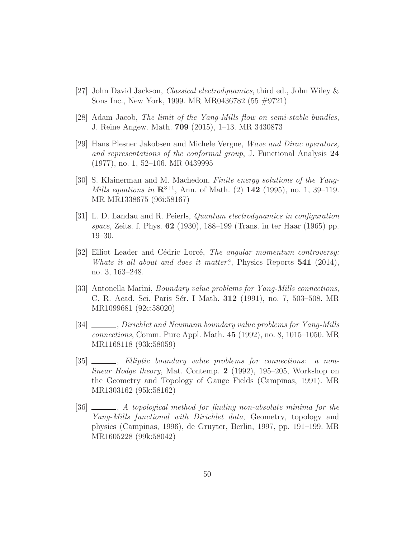- <span id="page-49-8"></span><span id="page-49-1"></span>[27] John David Jackson, Classical electrodynamics, third ed., John Wiley & Sons Inc., New York, 1999. MR MR0436782 (55 #9721)
- <span id="page-49-2"></span> $|28|$  Adam Jacob, The limit of the Yang-Mills flow on semi-stable bundles, J. Reine Angew. Math. 709 (2015), 1–13. MR 3430873
- [29] Hans Plesner Jakobsen and Michele Vergne, Wave and Dirac operators, and representations of the conformal group, J. Functional Analysis 24 (1977), no. 1, 52–106. MR 0439995
- <span id="page-49-9"></span>[30] S. Klainerman and M. Machedon, Finite energy solutions of the Yang-Mills equations in  $\mathbb{R}^{3+1}$ , Ann. of Math. (2) 142 (1995), no. 1, 39–119. MR MR1338675 (96i:58167)
- <span id="page-49-3"></span>[31] L. D. Landau and R. Peierls, Quantum electrodynamics in configuration space, Zeits. f. Phys. 62 (1930), 188–199 (Trans. in ter Haar (1965) pp. 19–30.
- <span id="page-49-0"></span>[32] Elliot Leader and Cédric Lorcé, *The angular momentum controversy:* Whats it all about and does it matter?, Physics Reports  $541$  (2014), no. 3, 163–248.
- <span id="page-49-4"></span>[33] Antonella Marini, Boundary value problems for Yang-Mills connections, C. R. Acad. Sci. Paris Sér. I Math. 312 (1991), no. 7, 503-508. MR MR1099681 (92c:58020)
- <span id="page-49-5"></span>[34]  $\_\_\_\_\$ n Dirichlet and Neumann boundary value problems for Yang-Mills connections, Comm. Pure Appl. Math. 45 (1992), no. 8, 1015–1050. MR MR1168118 (93k:58059)
- <span id="page-49-6"></span>[35]  $\_\_\_\_\_\_\$  Elliptic boundary value problems for connections: a nonlinear Hodge theory, Mat. Contemp. 2 (1992), 195–205, Workshop on the Geometry and Topology of Gauge Fields (Campinas, 1991). MR MR1303162 (95k:58162)
- <span id="page-49-7"></span>[36]  $\_\_\_\_\_\_\_\_\$  A topological method for finding non-absolute minima for the Yang-Mills functional with Dirichlet data, Geometry, topology and physics (Campinas, 1996), de Gruyter, Berlin, 1997, pp. 191–199. MR MR1605228 (99k:58042)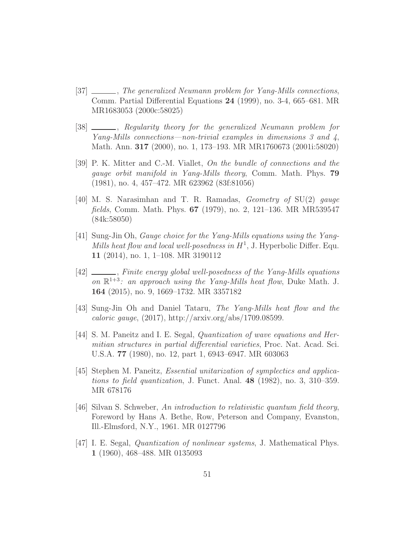- <span id="page-50-0"></span>[37] , The generalized Neumann problem for Yang-Mills connections, Comm. Partial Differential Equations 24 (1999), no. 3-4, 665–681. MR MR1683053 (2000c:58025)
- <span id="page-50-1"></span>[38]  $\_\_\_\_\_\$ n, Regularity theory for the generalized Neumann problem for Yang-Mills connections—non-trivial examples in dimensions 3 and 4, Math. Ann. 317 (2000), no. 1, 173–193. MR MR1760673 (2001i:58020)
- <span id="page-50-4"></span>[39] P. K. Mitter and C.-M. Viallet, On the bundle of connections and the gauge orbit manifold in Yang-Mills theory, Comm. Math. Phys. 79 (1981), no. 4, 457–472. MR 623962 (83f:81056)
- <span id="page-50-3"></span>[40] M. S. Narasimhan and T. R. Ramadas, Geometry of SU(2) gauge fields, Comm. Math. Phys. 67 (1979), no. 2, 121–136. MR MR539547 (84k:58050)
- <span id="page-50-9"></span>[41] Sung-Jin Oh, Gauge choice for the Yang-Mills equations using the Yang-Mills heat flow and local well-posedness in  $H^1$ , J. Hyperbolic Differ. Equ. 11 (2014), no. 1, 1–108. MR 3190112
- <span id="page-50-10"></span>[42] \_\_\_\_, Finite energy global well-posedness of the Yang-Mills equations on  $\mathbb{R}^{1+3}$ : an approach using the Yang-Mills heat flow, Duke Math. J. 164 (2015), no. 9, 1669–1732. MR 3357182
- <span id="page-50-2"></span>[43] Sung-Jin Oh and Daniel Tataru, The Yang-Mills heat flow and the caloric gauge,  $(2017)$ , http://arxiv.org/abs/1709.08599.
- <span id="page-50-7"></span>[44] S. M. Paneitz and I. E. Segal, Quantization of wave equations and Hermitian structures in partial differential varieties, Proc. Nat. Acad. Sci. U.S.A. 77 (1980), no. 12, part 1, 6943–6947. MR 603063
- <span id="page-50-8"></span>[45] Stephen M. Paneitz, *Essential unitarization of symplectics and applica*tions to field quantization, J. Funct. Anal. 48 (1982), no. 3, 310–359. MR 678176
- <span id="page-50-5"></span>[46] Silvan S. Schweber, An introduction to relativistic quantum field theory, Foreword by Hans A. Bethe, Row, Peterson and Company, Evanston, Ill.-Elmsford, N.Y., 1961. MR 0127796
- <span id="page-50-6"></span>[47] I. E. Segal, Quantization of nonlinear systems, J. Mathematical Phys. 1 (1960), 468–488. MR 0135093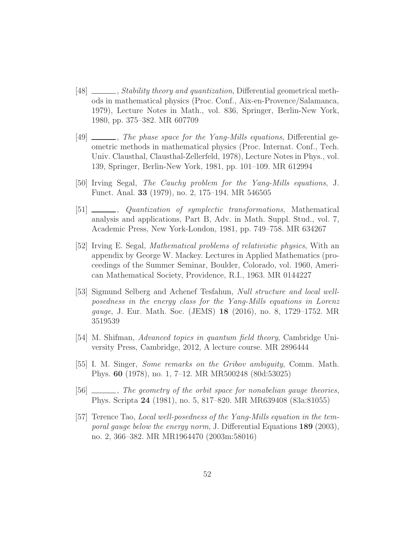- <span id="page-51-4"></span>[48]  $\_\_\_\_\_$ , *Stability theory and quantization*, Differential geometrical methods in mathematical physics (Proc. Conf., Aix-en-Provence/Salamanca, 1979), Lecture Notes in Math., vol. 836, Springer, Berlin-New York, 1980, pp. 375–382. MR 607709
- <span id="page-51-5"></span>[49]  $\ldots$ , The phase space for the Yang-Mills equations, Differential geometric methods in mathematical physics (Proc. Internat. Conf., Tech. Univ. Clausthal, Clausthal-Zellerfeld, 1978), Lecture Notes in Phys., vol. 139, Springer, Berlin-New York, 1981, pp. 101–109. MR 612994
- <span id="page-51-7"></span><span id="page-51-6"></span>[50] Irving Segal, The Cauchy problem for the Yang-Mills equations, J. Funct. Anal. 33 (1979), no. 2, 175–194. MR 546505
- [51] , Quantization of symplectic transformations, Mathematical analysis and applications, Part B, Adv. in Math. Suppl. Stud., vol. 7, Academic Press, New York-London, 1981, pp. 749–758. MR 634267
- <span id="page-51-3"></span>[52] Irving E. Segal, Mathematical problems of relativistic physics, With an appendix by George W. Mackey. Lectures in Applied Mathematics (proceedings of the Summer Seminar, Boulder, Colorado, vol. 1960, American Mathematical Society, Providence, R.I., 1963. MR 0144227
- <span id="page-51-9"></span>[53] Sigmund Selberg and Achenef Tesfahun, Null structure and local wellposedness in the energy class for the Yang-Mills equations in Lorenz gauge, J. Eur. Math. Soc. (JEMS) 18 (2016), no. 8, 1729–1752. MR 3519539
- <span id="page-51-2"></span><span id="page-51-0"></span>[54] M. Shifman, Advanced topics in quantum field theory, Cambridge University Press, Cambridge, 2012, A lecture course. MR 2896444
- [55] I. M. Singer, Some remarks on the Gribov ambiguity, Comm. Math. Phys. 60 (1978), no. 1, 7–12. MR MR500248 (80d:53025)
- <span id="page-51-8"></span><span id="page-51-1"></span>[56]  $\frac{1}{\sqrt{56}}$ , The geometry of the orbit space for nonabelian gauge theories, Phys. Scripta 24 (1981), no. 5, 817–820. MR MR639408 (83a:81055)
- [57] Terence Tao, Local well-posedness of the Yang-Mills equation in the temporal gauge below the energy norm, J. Differential Equations 189 (2003), no. 2, 366–382. MR MR1964470 (2003m:58016)